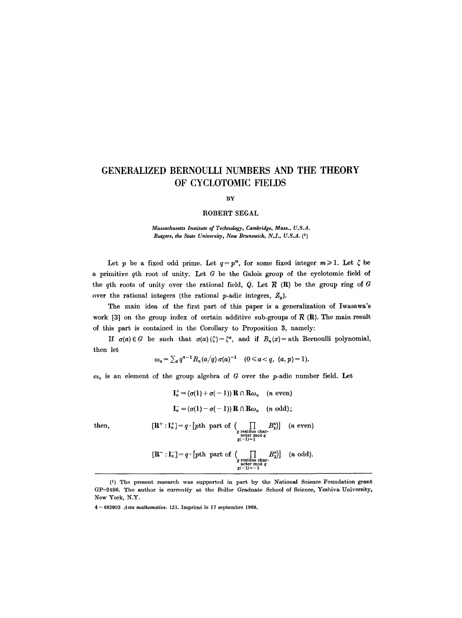# **GENERALIZED BERNOULLI NUMBERS AND THE THEORY OF CYCLOTOMIC FIELDS**

#### BY

#### ROBERT SEGAL

*Massachusetts Institute of Technology, Cambridge, Mass., U.S.A. Butgers, the State University, New Brunswick, N.J., U.S.A. (1)* 

Let p be a fixed odd prime. Let  $q = p^m$ , for some fixed integer  $m \ge 1$ . Let  $\zeta$  be a primitive  $q$ th root of unity. Let  $G$  be the Galois group of the cyclotomic field of the qth roots of unity over the rational field, Q. Let  $R$  (R) be the group ring of G over the rational integers (the rational p-adic integers,  $Z_n$ ).

The main idea of the first part of this paper is a generalization of Iwasawa's work [3] on the group index of certain additive sub-groups of  $\mathcal{R}(R)$ . The main result of this part is contained in the Corollary to Proposition 3, namely:

If  $\sigma(a) \in G$  be such that  $\sigma(a)$   $(\zeta) = \zeta^a$ , and if  $B_n(x) = nh$  Bernoulli polynomial, then let

$$
\omega_n = \sum_a q^{n-1} B_n(a/q) \sigma(a)^{-1} \quad (0 \leq a < q, \ (a, p) = 1).
$$

 $\omega_n$  is an element of the group algebra of G over the p-adic number field. Let

$$
\mathbf{I}_n^+ = (\sigma(1) + \sigma(-1)) \mathbf{R} \cap \mathbf{R}\omega_n \quad (n \text{ even})
$$
\n
$$
\mathbf{I}_n^- = (\sigma(1) - \sigma(-1)) \mathbf{R} \cap \mathbf{R}\omega_n \quad (n \text{ odd});
$$
\nthen,\n
$$
[\mathbf{R}^+ : \mathbf{I}_n^+] = q \cdot [pth \text{ part of } \left( \prod_{\substack{x \text{ residue char-} \\ x \text{ acter mod } q}} B_n^n \right)] \quad (n \text{ even})
$$
\n
$$
[\mathbf{R}^- : \mathbf{I}_n^-] = q \cdot [pth \text{ part of } \left( \prod_{\substack{x \text{ residue char-} \\ x \text{ acter mod } q}} B_n^n \right)] \quad (n \text{ odd}).
$$

<sup>(1)</sup> The present research was supported in part by the National Science Foundation grant GP-2496. The author is currently at the Belfer Graduate School of Science, Yeshiva University, New York, N.Y.

<sup>4-682903</sup> Acta mathematica. 121. Imprimé le 17 septembre 1968.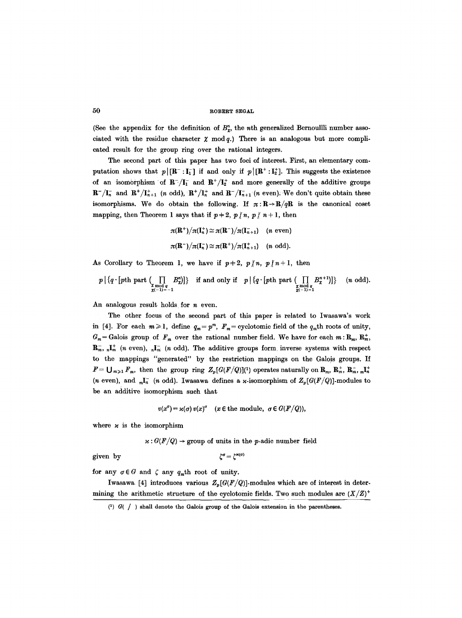(See the appendix for the definition of  $B_{\mathbf{z}}^{n}$ , the nth generalized Bernoulli number associated with the residue character  $\chi \mod q$ .) There is an analogous but more complicated result for the group ring over the rational integers.

The second part of this paper has two foci of interest. First, an elementary computation shows that  $p | [\mathbf{R}^- : \mathbf{I}_1^-]$  if and only if  $p | [\mathbf{R}^+ : \mathbf{I}_2^+]$ . This suggests the existence of an isomorphism of  $\mathbb{R}^{-}/I_{1}^{-}$  and  $\mathbb{R}^{+}/I_{2}^{+}$  and more generally of the additive groups  $\mathbf{R}^-/\mathbf{I}_n^-$  and  $\mathbf{R}^+/\mathbf{I}_{n+1}^+$  (n odd),  $\mathbf{R}^+/\mathbf{I}_n^+$  and  $\mathbf{R}^-/\mathbf{I}_{n+1}^-$  (n even). We don't quite obtain these isomorphisms. We do obtain the following. If  $\pi: \mathbb{R} \to \mathbb{R}/q\mathbb{R}$  is the canonical coset mapping, then Theorem 1 says that if  $p+2$ ,  $p\nmid n$ ,  $p\nmid n+1$ , then

$$
\pi(\mathbf{R}^+)/\pi(\mathbf{I}_n^+) \simeq \pi(\mathbf{R}^-)/\pi(\mathbf{I}_{n+1}^-)
$$
 (*n* even)  

$$
\pi(\mathbf{R}^-)/\pi(\mathbf{I}_n^-) \simeq \pi(\mathbf{R}^+)/\pi(\mathbf{I}_{n+1}^+)
$$
 (*n* odd).

As Corollary to Theorem 1, we have if  $p+2$ ,  $p/n$ ,  $p/n+1$ , then

$$
p \mid \{q \cdot [pth \text{ part } (\prod_{\substack{\chi \bmod q \\ \chi(-1)=-1}} B_{\chi}^n)]\} \quad \text{if and only if} \quad p \mid \{q \cdot [pth \text{ part } (\prod_{\substack{\chi \bmod q \\ \chi(-1)=-1}} B_{\chi}^{n+1})]\} \quad (n \text{ odd}).
$$

An analogous result holds for  $n$  even.

The other focus of the second part of this paper is related to Iwasawa's work in [4]. For each  $m \ge 1$ , define  $q_m = p^m$ ,  $F_m =$  cyclotomic field of the  $q_m$ th roots of unity,  $G_m =$  Galois group of  $F_m$  over the rational number field. We have for each  $m : \mathbf{R}_m$ ,  $\mathbf{R}_m^+$ ,  $\mathbf{R}_m^-$ ,  $\mathbf{I}_m^+$  (n even),  $\mathbf{I}_n^-$  (n odd). The additive groups form inverse systems with respect to the mappings "generated" by the restriction mappings on the Galois groups. If  $F = \bigcup_{m \geq 1} F_m$ , then the group ring  $Z_p(G(F/Q))(1)$  operates naturally on  $\mathbf{R}_m$ ,  $\mathbf{R}_m^+$ ,  $\mathbf{R}_m^-$ ,  $_m\mathbf{I}_n^+$ (*n* even), and  $_{m}I_{n}^{-}$  (*n* odd). Iwasawa defines a *x*-isomorphism of  $Z_{p}[G(F/Q)]$ -modules to be an additive isomorphism such that

$$
v(x^{\sigma}) = \varkappa(\sigma) v(x)^{\sigma} \quad (x \in \text{the module}, \ \sigma \in G(F/Q)),
$$

where  $\varkappa$  is the isomorphism

 $\varkappa: G(F/Q) \to \text{group of units in the } p\text{-adic number field}$ 

given by  $\zeta^{\sigma} = \zeta^{\varkappa(\sigma)}$ 

for any  $\sigma \in G$  and  $\zeta$  any  $q_m$ th root of unity.

Iwasawa [4] introduces various  $Z_p[G(F/Q)]$ -modules which are of interest in determining the arithmetic structure of the cyclotomic fields. Two such modules are  $(X/Z)^+$ 

<sup>(1)</sup>  $G( / )$  shall denote the Galois group of the Galois extension in the parentheses.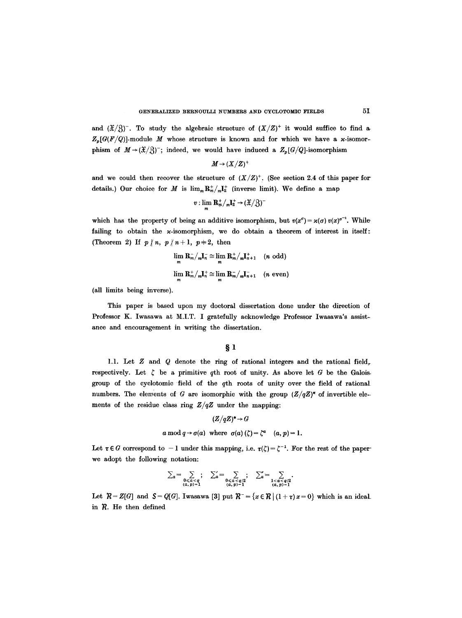and  $({\mathfrak X}/{\mathfrak Z})^-$ . To study the algebraic structure of  $({\mathfrak X}/{\mathfrak Z})^+$  it would suffice to find a  $Z_{n}[G(F/Q)]$ -module M whose structure is known and for which we have a x-isomorphism of  $M \rightarrow (\mathfrak{X}/3)^{-}$ ; indeed, we would have induced a  $Z_p[G/Q]$ -isomorphism

$$
M \to (X/Z)^+
$$

and we could then recover the structure of  $(X/Z)^+$ . (See section 2.4 of this paper for details.) Our choice for M is  $\lim_{m} \mathbf{R}^+_m / {}_m\mathbf{I}^+_2$  (inverse limit). We define a map

$$
v:\lim_{m}\mathbf{R}_{m}^{+}/_{m}\mathbf{I}_{2}^{+}\rightarrow (\mathfrak{X}/\mathfrak{Z})^{-}
$$

which has the property of being an additive isomorphism, but  $v(x^0) = \varkappa(\sigma) v(x)^{\sigma^{-1}}$ . While failing to obtain the  $\varkappa$ -isomorphism, we do obtain a theorem of interest in itself: (Theorem 2) If  $p \nmid n, p \nmid n+1, p=2$ , then

$$
\lim_{m} \mathbf{R}_{m}^{-}/_{m} \mathbf{I}_{n}^{-} \cong \lim_{m} \mathbf{R}_{m}^{+}/_{m} \mathbf{I}_{n+1}^{+} \quad (n \text{ odd})
$$
  

$$
\lim_{m} \mathbf{R}_{m}^{+}/_{m} \mathbf{I}_{n}^{+} \cong \lim_{m} \mathbf{R}_{m}^{-}/_{m} \mathbf{I}_{n+1}^{-} \quad (n \text{ even})
$$

(all limits being inverse).

This paper is based upon my doctoral dissertation done under the direction of Professor K. Iwasawa at M.I.T. I gratefully acknowledge Professor Iwasawa's assistance and encouragement in writing the dissertation.

# $§<sub>1</sub>$

1.1. Let Z and Q denote the ring of rational integers and the rational field, respectively. Let  $\zeta$  be a primitive qth root of unity. As above let G be the Galois. group of the cyclotomic field of the qth roots of unity over the field of rational numbers. The elements of G are isomorphic with the group  $(Z/qZ)^*$  of invertible elements of the residue class ring *Z/qZ* under the mapping:

$$
(\mathbf{Z}/q\mathbf{Z})^* \to G
$$

*a* mod  $q \rightarrow \sigma(a)$  where  $\sigma(a)(\zeta) = \zeta^a$   $(a, p) = 1$ .

Let  $\tau \in G$  correspond to  $-1$  under this mapping, i.e.  $\tau(\zeta) = \zeta^{-1}$ . For the rest of the paper we adopt the following notation:

$$
\sum_{a} = \sum_{\substack{0 \leq a < q \\ (a, p) = 1}} ; \quad \sum_{a}' = \sum_{\substack{0 \leq a < q/2 \\ (a, p) = 1}} ; \quad \sum_{a}' = \sum_{\substack{1 < a < q/2 \\ (a, p) = 1}}.
$$

Let  $\mathcal{R} = Z[G]$  and  $\mathcal{S} = Q[G]$ . Iwasawa [3] put  $\mathcal{R}^- = \{x \in \mathcal{R} \mid (1 + \tau)x = 0\}$  which is an ideal in  $R$ . He then defined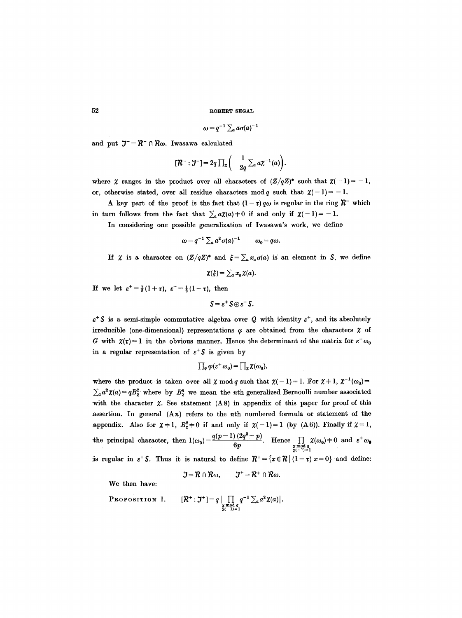$$
\omega = q^{-1} \sum_a a \sigma(a)^{-1}
$$

and put  $J = R^- \cap R\omega$ . Iwasawa calculated

$$
[\mathcal{R}^-:\mathcal{J}^-]=2q\prod_z\bigg(-\frac{1}{2q}\sum_a a\chi^{-1}(a)\bigg).
$$

where  $\chi$  ranges in the product over all characters of  $(Z/qZ)^*$  such that  $\chi(-1)=-1$ , or, otherwise stated, over all residue characters mod q such that  $\chi(-1)=-1$ .

A key part of the proof is the fact that  $(1 - \tau) q\omega$  is regular in the ring  $\mathcal{R}^-$  which in turn follows from the fact that  $\sum_a a\chi(a) = 0$  if and only if  $\chi(-1) = -1$ .

In considering one possible generalization of Iwasawa's work, we define

$$
\omega = q^{-1} \sum_a a^2 \sigma(a)^{-1} \qquad \omega_0 = q\omega.
$$

If  $\chi$  is a character on  $(Z/qZ)^*$  and  $\xi = \sum_a x_a \sigma(a)$  is an element in S, we define

$$
\chi(\xi) = \sum_a x_a \chi(a).
$$

If we let  $\varepsilon^{+}=\frac{1}{2}(1+\tau)$ ,  $\varepsilon^{-}=\frac{1}{2}(1-\tau)$ , then

$$
S=\varepsilon^+\,S\oplus\varepsilon^-\,S.
$$

 $\varepsilon^+$ S is a semi-simple commutative algebra over Q with identity  $\varepsilon^+$ , and its absolutely irreducible (one-dimensional) representations  $\varphi$  are obtained from the characters  $\chi$  of G with  $\chi(\tau) = 1$  in the obvious manner. Hence the determinant of the matrix for  $\varepsilon^+ \omega_0$ in a regular representation of  $\varepsilon^+$ S is given by

$$
\prod_{\varphi}\varphi(\varepsilon^+\omega_0)=\prod_{\chi}\chi(\omega_0),
$$

where the product is taken over all  $\chi \mod q$  such that  $\chi(-1) = 1$ . For  $\chi + 1$ ,  $\chi^{-1}(\omega_0) =$  $\sum_a a^2 \chi(a) = qB_\chi^2$  where by  $B_\chi^n$  we mean the *n*th generalized Bernoulli number associated with the character  $\chi$ . See statement (A8) in appendix of this paper for proof of this assertion. In general  $(An)$  refers to the nth numbered formula or statement of the appendix. Also for  $\chi+1$ ,  $B_{\chi}^2+0$  if and only if  $\chi(-1)=1$  (by (A6)). Finally if  $\chi=1$ , the principal character, then  $1(\omega_0) = \frac{\gamma(p-1)(2q-p)}{6p}$ . Hence  $\prod_{\substack{\chi \bmod q \\ \chi(-1)=1}} \chi(\omega_0) \neq 0$  and  $\varepsilon^+ \omega_0$ is regular in  $\varepsilon^+ S$ . Thus it is natural to define  $\mathcal{R}^+ = \{x \in \mathcal{R} \mid (1-\tau) x = 0\}$  and define:

$$
\mathcal{J} = \mathcal{R} \cap \mathcal{R}\omega, \qquad \mathcal{J}^+ = \mathcal{R}^+ \cap \mathcal{R}\omega.
$$

We then have:

**PROPOSITION 1.** 
$$
[\mathcal{R}^+ : \mathcal{I}^+] = q \Big| \prod_{\substack{\chi \bmod q \\ \chi(-1)=1}} q^{-1} \sum_a a^2 \chi(a) \Big|.
$$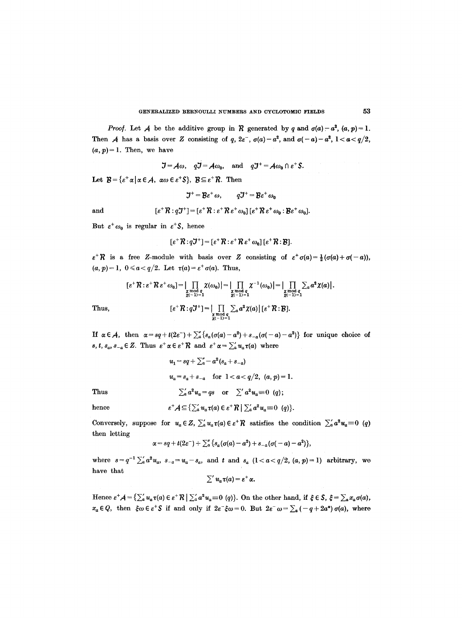*Proof.* Let A be the additive group in  $R$  generated by q and  $\sigma(a) - a^2$ ,  $(a, p) = 1$ . Then A has a basis over Z consisting of q,  $2\varepsilon^-, \sigma(a) - a^2$ , and  $\sigma(-a) - a^2$ ,  $1 < a < q/2$ ,  $(a, p)=1$ . Then, we have

 $\mathcal{J} = \mathcal{A}\omega$ ,  $q\mathcal{J} = \mathcal{A}\omega_0$ , and  $q\mathcal{J}^+ = \mathcal{A}\omega_0 \cap \varepsilon^+$ S.

Let  $B = { \varepsilon^{\dagger} \alpha | \alpha \in \mathcal{A}, \ \alpha \omega \in \varepsilon^{\dagger} \mathcal{S}}, \ \mathcal{B} \subseteq \varepsilon^{\dagger} \mathcal{R}.$  Then

$$
\mathcal{J}^+ = \mathcal{B}\varepsilon^+ \omega, \qquad q\mathcal{J}^+ = \mathcal{B}\varepsilon^+ \omega_0
$$

and  $[\varepsilon^+ \mathcal{R} : q \mathcal{J}^+] = [\varepsilon^+ \mathcal{R} : \varepsilon^+ \mathcal{R} \varepsilon^+ \omega_0] [\varepsilon^+ \mathcal{R} \varepsilon^+ \omega_0 : \mathcal{B} \varepsilon^+ \omega_0].$ 

$$
f_{\rm{max}}(x)=\frac{1}{2}x
$$

But  $\varepsilon^+ \omega_0$  is regular in  $\varepsilon^+ S$ , hence

$$
[\varepsilon^{\dagger} \mathcal{R} : q \mathcal{J}^{\dagger}] = [\varepsilon^{\dagger} \mathcal{R} : \varepsilon^{\dagger} \mathcal{R} \varepsilon^{\dagger} \omega_0] [\varepsilon^{\dagger} \mathcal{R} : \mathcal{B}].
$$

 $\varepsilon^*R$  is a free Z-module with basis over Z consisting of  $\varepsilon^* \sigma(a) = \frac{1}{2} (\sigma(a) + \sigma(-a))$ ,  $(a, p)=1$ ,  $0 \leq a < q/2$ . Let  $\tau(a)=\varepsilon^+\sigma(a)$ . Thus,

$$
\begin{aligned} [\varepsilon^+ \mathcal{R} : \varepsilon^+ \mathcal{R} \varepsilon^+ \omega_0] &= \big| \prod_{\substack{\chi \bmod q \\ \chi(-1)=1}} \chi(\omega_0) \big| = \big| \prod_{\substack{\chi \bmod q \\ \chi(-1)=1}} \chi^{-1}(\omega_0) \big| = \big| \prod_{\substack{\chi \bmod q \\ \chi(-1)=1}} \sum_a a^2 \chi(a) \big|. \end{aligned}
$$
\nThus,\n
$$
\begin{aligned} [\varepsilon^+ \mathcal{R} : q \mathcal{J}^+] &= \big| \prod_{\substack{\chi \bmod q \\ \chi(-1)=1}} \sum_a a^2 \chi(a) \big| [\varepsilon^+ \mathcal{R} : \mathcal{B}]. \end{aligned}
$$

If  $\alpha \in \mathcal{A}$ , then  $\alpha = sq+t(2\varepsilon^-)+\sum_{a}^{s} \{s_a(\sigma(a)-a^2)+s_{-a}(\sigma(-a)-a^2)\}\)$  for unique choice of *s, t, s<sub>a</sub>, s<sub>-a</sub>*  $\in$  Z. Thus  $\varepsilon^+ \alpha \in \varepsilon^+ \mathcal{R}$  and  $\varepsilon^+ \alpha = \sum_a u_a \tau(a)$  where

$$
u_1 = sq + \sum_{a}^{s} -a^2(s_a + s_{-a})
$$
  
\n
$$
u_a = s_a + s_{-a} \text{ for } 1 < a < q/2, (a, p) = 1.
$$
  
\nThus  
\n
$$
\sum_{a}^{s} a^2 u_a = qs \text{ or } \sum_{a}^{s} a^2 u_a = 0 (q);
$$

hence 
$$
\varepsilon^+ A \subseteq \left\{ \sum_a u_a \tau(a) \in \varepsilon^+ R \mid \sum_a a^2 u_a \equiv 0 \right\}.
$$

 $\overline{\phantom{a}}$ 

Conversely, suppose for  $u_a \in Z$ ,  $\sum_a u_a \tau(a) \in \varepsilon^+ R$  satisfies the condition  $\sum_a a^2 u_a \equiv 0 \ (q)$ then letting

$$
\alpha = sq + t(2\varepsilon^-) + \sum_{a}^{\prime\prime} \left\{ s_a(\sigma(a) - a^2) + s_{-a}(\sigma(-a) - a^2) \right\},\,
$$

where  $s=q^{-1}\sum_{a}^{\infty}a^2u_a$ ,  $s_{-a}=u_a-s_a$ , and t and  $s_a$   $(1 < a < q/2, (a, p)=1)$  arbitrary, we have that

$$
\sum' u_a \tau(a) = \varepsilon^+ \alpha.
$$

Hence  $\varepsilon^+ A = \left\{ \sum_a u_a \tau(a) \in \varepsilon^+ \mathcal{R} \mid \sum_a a^2 u_a \equiv 0 \ (q) \right\}$ . On the other hand, if  $\xi \in \mathcal{S}$ ,  $\xi = \sum_a x_a \sigma(a)$ ,  $x_a \in Q$ , then  $\xi \omega \in \varepsilon^+ S$  if and only if  $2\varepsilon^- \xi \omega = 0$ . But  $2\varepsilon^- \omega = \sum_a (-q+2a^*) \sigma(a)$ , where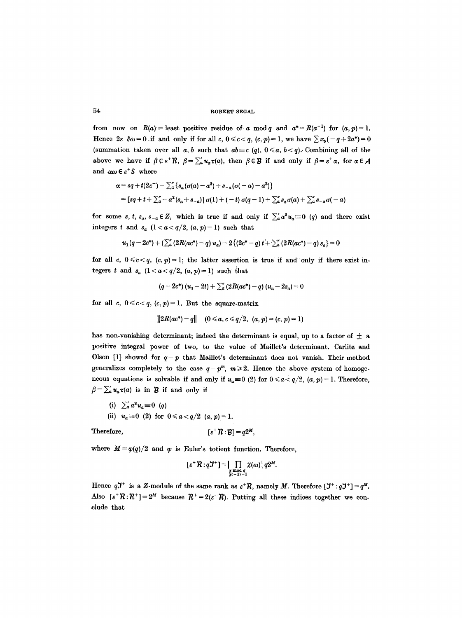from now on  $R(a)$  = least positive residue of a mod q and  $a^* = R(a^{-1})$  for  $(a, p) = 1$ . Hence  $2\varepsilon-\xi\omega=0$  if and only if for all  $c, 0 \leq c < q$ ,  $(c, p)=1$ , we have  $\sum x_b(-q+2a^*)=0$ (summation taken over all a, b such that  $ab \equiv c$  (q),  $0 \le a, b < q$ ). Combining all of the above we have if  $\beta \in \varepsilon^+ R$ ,  $\beta = \sum_a u_a \tau(a)$ , then  $\beta \in \mathcal{B}$  if and only if  $\beta = \varepsilon^+ \alpha$ , for  $\alpha \in \mathcal{A}$ and  $\alpha\omega \in \varepsilon^+$ S where

$$
\alpha = sq + t(2\varepsilon^{-}) + \sum_{a}^{n} \{s_a(\sigma(a) - a^2) + s_{-a}(\sigma(-a) - a^2)\}
$$
  
=  $[sq + t + \sum_{a}^{n} -a^2(s_a + s_{-a})] \sigma(1) + (-t) \sigma(q-1) + \sum_{a}^{n} s_a \sigma(a) + \sum_{a}^{n} s_{-a} \sigma(-a)$ 

for some *s, t, s<sub>a</sub>, s<sub>-a</sub>*  $\in$  Z, which is true if and only if  $\sum_{a} a^2 u_a \equiv 0$  (q) and there exist integers t and  $s_a$   $(1 < a < q/2, (a, p) = 1)$  such that

$$
u_1(q-2c^*) + (\sum_{a}^{\infty} (2R(ac^*)-q) u_a) - 2\{(2c^*-q) t + \sum_{a}^{\infty} (2R(ac^*)-q) s_a\} = 0
$$

for all c,  $0 \leq c < q$ ,  $(c, p) = 1$ ; the latter assertion is true if and only if there exist integers t and  $s_a$   $(1 < a < q/2, (a, p) = 1)$  such that

$$
(q-2c^*)(u_1+2t)+\sum_{a}^{\infty}(2R(ac^*)-q)(u_a-2s_a)=0
$$

for all c,  $0 \leqslant c < q$ ,  $(c, p) = 1$ . But the square-matrix

$$
||2R(ac^*)-q|| \quad (0 \leq a, c \leq q/2, (a, p) = (c, p) = 1)
$$

has non-vanishing determinant; indeed the determinant is equal, up to a factor of  $\pm$  a positive integral power of two, to the value of Maillet's determinant. Carlitz and Olson [1] showed for  $q=p$  that Maillet's determinant does not vanish. Their method generalizes completely to the case  $q = p^m$ ,  $m \ge 2$ . Hence the above system of homogeneous equations is solvable if and only if  $u_a \equiv 0$  (2) for  $0 \le a < q/2$ ,  $(a, p) = 1$ . Therefore,  $\beta=\sum_{a}^{\prime}u_{a}\tau(a)$  is in **B** if and only if

(i) 
$$
\sum_{a}^{\infty} a^{2} u_{a} \equiv 0
$$
 (q)  
(ii)  $u_{a} \equiv 0$  (2) for  $0 \le a < q/2$  (a, p) = 1.

Therefore,  $[\varepsilon^+ \mathcal{R} : \mathcal{B}] = q2^M,$ 

where  $M = \varphi(q)/2$  and  $\varphi$  is Euler's totient function. Therefore,

$$
[\varepsilon^+ \mathcal{R} : q \mathcal{J}^+] = \prod_{\substack{\chi \bmod q \\ \chi(-1) = 1}} \chi(\omega) | q 2^M.
$$

Hence  $q\mathcal{J}^+$  is a Z-module of the same rank as  $\varepsilon^+R$ , namely M. Therefore  $[\mathcal{J}^+ : q\mathcal{J}^+] = q^M$ . Also  $[\varepsilon^+ \mathcal{R}^+] = 2^M$  because  $\mathcal{R}^+ = 2(\varepsilon^+ \mathcal{R})$ . Putting all these indices together we conclude that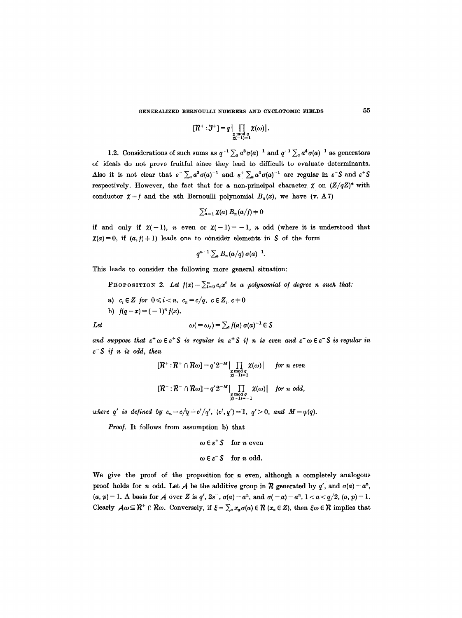$$
[\mathcal{R}^+:\mathcal{J}^+]=q\big|\prod_{\substack{\chi \bmod q\\ \chi(-1)=1}}\chi(\omega)\big|.
$$

1.2. Considerations of such sums as  $q^{-1} \sum_a a^3 \sigma(a)^{-1}$  and  $q^{-1} \sum_a a^4 \sigma(a)^{-1}$  as generators of ideals do not prove fruitful since they lead to difficult to evaluate determinants. Also it is not clear that  $\varepsilon^- \sum_a a^3 \sigma(a)^{-1}$  and  $\varepsilon^+ \sum_a a^4 \sigma(a)^{-1}$  are regular in  $\varepsilon^- S$  and  $\varepsilon^+ S$ respectively. However, the fact that for a non-principal character  $\chi$  on  $(Z/qZ)^*$  with conductor  $\chi = f$  and the *n*th Bernoulli polynomial  $B_n(x)$ , we have (v. A7)

$$
\sum_{a=1}^f \chi(a) B_n(a/f) = 0
$$

if and only if  $\chi(-1)$ , *n* even or  $\chi(-1)=-1$ , *n* odd (where it is understood that  $\chi(a) = 0$ , if  $(a, f) + 1$ ) leads one to consider elements in S of the form

$$
q^{n-1}\sum_a B_n(a/q)\,\sigma(a)^{-1}.
$$

This leads to consider the following more general situation:

PROPOSITION 2. Let  $f(x) = \sum_{i=0}^{n} c_i x^i$  be a polynomial of degree n such that:

- a)  $c_i \in \mathbb{Z}$  for  $0 \leq i < n$ ,  $c_n = c/q$ ,  $c \in \mathbb{Z}$ ,  $c \neq 0$
- b)  $f(q-x) = (-1)^n f(x)$ .

Let 
$$
\omega (= \omega_f) = \sum_a f(a) \sigma(a)^{-1} \in \mathcal{S}
$$

and suppose that  $\varepsilon^+\omega \in \varepsilon^+$ S *is regular in*  $\varepsilon^+$ S *if n is even and*  $\varepsilon^- \omega \in \varepsilon^-$ S *is regular in e-\$ i/ n iS odd, then* 

$$
[\mathcal{R}^+:\mathcal{R}^+\cap\mathcal{R}\omega]=q'2^{-M}\Big|\prod_{\substack{\chi \bmod q \\ \chi(-1)=1}}\chi(\omega)\Big| \quad \text{for } n \text{ even}
$$
  

$$
[\mathcal{R}^-:\mathcal{R}^-\cap\mathcal{R}\omega]=q'2^{-M}\Big|\prod_{\substack{\chi \bmod q \\ \chi(-1)=-1}}\chi(\omega)\Big| \quad \text{for } n \text{ odd},
$$

*where q' is defined by*  $c_n = c/q = c'/q'$ ,  $(c', q') = 1$ ,  $q' > 0$ , and  $M = \varphi(q)$ .

*Proo/.* It follows from assumption b) that

$$
\omega \in \varepsilon^+ S \quad \text{for } n \text{ even}
$$
  

$$
\omega \in \varepsilon^- S \quad \text{for } n \text{ odd.}
$$

We give the proof of the proposition for  $n$  even, although a completely analogous proof holds for n odd. Let A be the additive group in R generated by q', and  $\sigma(a) - a^n$ ,  $(a, p) = 1$ . A basis for A over Z is  $q'$ ,  $2e^-$ ,  $\sigma(a) - a^n$ , and  $\sigma(-a) - a^n$ ,  $1 < a < q/2$ ,  $(a, p) = 1$ . Clearly  $A\omega \subseteq R^+ \cap R\omega$ . Conversely, if  $\xi = \sum_a x_a \sigma(a) \in R$  ( $x_a \in Z$ ), then  $\xi \omega \in R$  implies that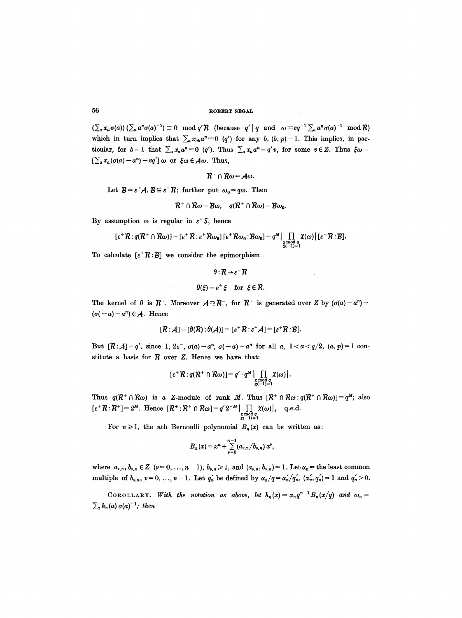$(\sum_a x_a \sigma(a)) (\sum_a a^n \sigma(a)^{-1}) \equiv 0 \mod q' R$  (because  $q' | q$  and  $\omega \equiv cq^{-1} \sum_a a^n \sigma(a)^{-1} \mod R$ ) which in turn implies that  $\sum_{a} x_{ab} a^n \equiv 0 \ (q')$  for any *b*,  $(b, p) = 1$ . This implies, in particular, for  $b=1$  that  $\sum_{a} x_a a^n \equiv 0$  (q'). Thus  $\sum_{a} x_a a^n = q'v$ , for some  $v \in Z$ . Thus  $\xi \omega =$  $[\sum_a x_a (\sigma(a) - a^n) - vq'] \omega$  or  $\xi \omega \in A \omega$ . Thus,

 $R^+ \cap R\omega = A\omega$ .

Let  $\mathcal{B}=\varepsilon^+\mathcal{A}, \mathcal{B}\subseteq\varepsilon^+\mathcal{R}$ ; further put  $\omega_0=q\omega$ . Then

$$
\mathcal{R}^+ \cap \mathcal{R}\omega = \mathcal{B}\omega, \quad q(\mathcal{R}^+ \cap \mathcal{R}\omega) = \mathcal{B}\omega_0.
$$

By assumption  $\omega$  is regular in  $\varepsilon^+$  S, hence

$$
[\varepsilon^+ \mathcal{R} : q(\mathcal{R}^+ \cap \mathcal{R}\omega)] = [\varepsilon^+ \mathcal{R} : \varepsilon^+ \mathcal{R}\omega_0] [\varepsilon^+ \mathcal{R}\omega_0 : \mathcal{B}\omega_0] = q^M \big| \prod_{\substack{\chi \bmod q \\ \chi(-1)=1}} \chi(\omega) | [\varepsilon^+ \mathcal{R} : \mathcal{B}].
$$

To calculate  $[\varepsilon^+ \mathcal{R} : \mathcal{B}]$  we consider the epimorphism

$$
\theta: \mathcal{R} \to \varepsilon^+ \mathcal{R}
$$

$$
\theta(\xi) = \varepsilon^+ \xi \quad \text{for } \xi \in \mathcal{R}.
$$

The kernel of  $\theta$  is  $R^-$ . Moreover  $A \supseteq R^-$ , for  $R^-$  is generated over Z by  $(\sigma(a)-a^n)$  - $(\sigma(-a) - a^n) \in \mathcal{A}$ . Hence

$$
[\mathcal{R}:\mathcal{A}]=[\theta(\mathcal{R}):\theta(\mathcal{A})]=[\varepsilon^+\mathcal{R}:\varepsilon^+\mathcal{A}]=[\varepsilon^+\mathcal{R}:\mathcal{B}].
$$

But  $[R : A] = q'$ , since 1,  $2\varepsilon^{-}$ ,  $\sigma(a) - a^{n}$ ,  $\sigma(-a) - a^{n}$  for all *a*,  $1 < a < q/2$ ,  $(a, p) = 1$  constitute a basis for  $R$  over  $Z$ . Hence we have that:

$$
[\varepsilon^* \mathcal{R} : q(\mathcal{R}^+ \cap \mathcal{R}\omega)] = q' \cdot q^M \mathop{\prod_{\substack{\chi \bmod q \\ \chi(-1)=1}}^{\chi(\omega)} \chi(\omega).
$$

Thus  $q(\mathcal{R}^+ \cap \mathcal{R}\omega)$  is a Z-module of rank M. Thus  $[\mathcal{R}^+ \cap \mathcal{R}\omega : q(\mathcal{R}^+ \cap \mathcal{R}\omega)] = q^M$ ; also  $[\varepsilon^+ \mathcal{R}:\mathcal{R}^+] = 2^M$ . Hence  $[\mathcal{R}^+:\mathcal{R}^+ \cap \mathcal{R}\omega] = q' 2^{-M} |\prod \chi(\omega)|$ , q.e.d.  $\chi \mod q$ <br> $\chi(-1)=1$ 

For  $n \geq 1$ , the *n*th Bernoulli polynomial  $B_n(x)$  can be written as:

$$
B_n(x) = x^n + \sum_{\nu=0}^{n-1} (a_{\nu,n}/b_{\nu,n}) x^{\nu},
$$

where  $a_{\nu,n}$ ,  $b_{\nu,n} \in \mathbb{Z}$  ( $\nu = 0, \ldots, n-1$ ),  $b_{\nu,n} \geq 1$ , and  $(a_{\nu,n}, b_{\nu,n}) = 1$ . Let  $\alpha_n =$  the least common multiple of  $b_{\nu,n}$ ,  $\nu = 0, ..., n-1$ . Let  $q'_n$  be defined by  $\alpha_n/q = \alpha'_n/q'_n$ ,  $(\alpha'_n, q'_n) = 1$  and  $q'_n > 0$ .

COROLLARY. With the notation as above, let  $h_n(x) = \alpha_n q^{n-1} B_n(x/q)$  and  $\omega_n =$  $\sum_{a} h_n(a) \sigma(a)^{-1}$ ; then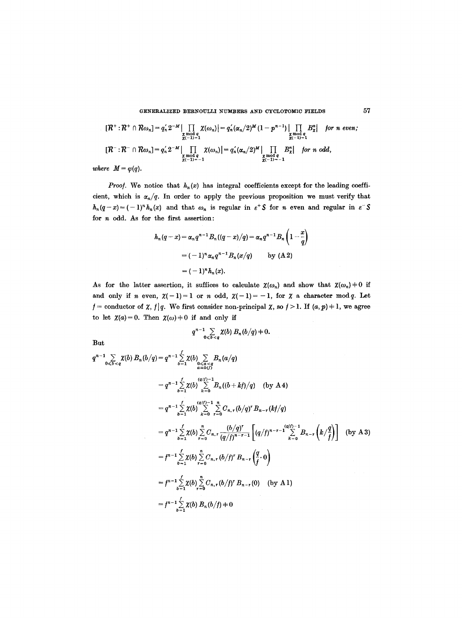GENERALIZED BERNOULLI NUMBERS AND CYCLOTOMIC FIELDS 57

$$
[\mathcal{R}^+:\mathcal{R}^+\cap \mathcal{R}\omega_n]=q_n'\cdot 2^{-M}\Big|\prod_{\substack{\chi \bmod q \\ \chi(-1)=1}}\chi(\omega_n)\Big|=q_n'(\alpha_n/2)^M(1-p^{n-1})\Big|\prod_{\substack{\chi \bmod q \\ \chi(-1)=1}}B_{\chi}^n| \quad \text{for } n \text{ even};
$$
  

$$
[\mathcal{R}^-:\mathcal{R}^-\cap \mathcal{R}\omega_n]=q_n'\cdot 2^{-M}\Big|\prod_{\substack{\chi \bmod q \\ \chi \bmod q \\ \chi(-1)=-1}}\chi(\omega_n)\Big|=q_n'(\alpha_n/2)^M\Big|\prod_{\substack{\chi \bmod q \\ \chi(-1)=-1}}B_{\chi}^n| \quad \text{for } n \text{ odd},
$$

*where*  $M = \varphi(q)$ *.* 

*Proof.* We notice that  $h_n(x)$  has integral coefficients except for the leading coefficient, which is  $\alpha_n/q$ . In order to apply the previous proposition we must verify that  $h_n(q-x)=(-1)^n h_n(x)$  and that  $\omega_n$  is regular in  $\varepsilon^+$  S for *n* even and regular in  $\varepsilon^-$  S for  $n$  odd. As for the first assertion:

$$
h_n(q-x) = \alpha_n q^{n-1} B_n((q-x)/q) = \alpha_n q^{n-1} B_n\left(1-\frac{x}{q}\right)
$$
  
=  $(-1)^n \alpha_n q^{n-1} B_n(x/q)$  by (A 2)  
=  $(-1)^n h_n(x)$ .

As for the latter assertion, it suffices to calculate  $\chi(\omega_n)$  and show that  $\chi(\omega_n)=0$  if and only if n even,  $\chi(-1)=1$  or n odd,  $\chi(-1)=-1$ , for  $\chi$  a character mod q. Let  $f =$  conductor of  $\chi$ ,  $f|q$ . We first consider non-principal  $\chi$ , so  $f > 1$ . If  $(a, p) \neq 1$ , we agree to let  $\chi(a)=0$ . Then  $\chi(\omega)=0$  if and only if

$$
q^{n-1}\sum_{0\leq b\leq q}\chi(b)\,B_n(b/q)+0.
$$

But

$$
q^{n-1} \sum_{0 \leq b < q} \chi(b) B_n(b/q) = q^{n-1} \sum_{0 \leq a < q} \chi(b) \sum_{\alpha \leq a < q} B_n(a/q)
$$
\n
$$
= q^{n-1} \sum_{b=1}^{\ell} \chi(b) \sum_{k=0}^{(q/f)-1} B_n((b+kt)/q) \quad \text{(by A4)}
$$
\n
$$
= q^{n-1} \sum_{b=1}^{\ell} \chi(b) \sum_{k=0}^{(q/f)-1} \sum_{r=0}^n C_{n,r} (b/q)^r B_{n-r}(kt/q)
$$
\n
$$
= q^{n-1} \sum_{b=1}^{\ell} \chi(b) \sum_{r=0}^n C_{n,r} \frac{(b/q)^r}{(q/f)^{n-r-1}} \left[ (q/f)^{n-r-1} \sum_{k=0}^{(q/f)-1} B_{n-r} \left( k / \frac{q}{f} \right) \right] \quad \text{(by A3)}
$$
\n
$$
= f^{n-1} \sum_{b=1}^{\ell} \chi(b) \sum_{r=0}^n C_{n,r} (b/f)^r B_{n-r} \left( \frac{q}{f} \cdot 0 \right)
$$
\n
$$
= f^{n-1} \sum_{b=1}^{\ell} \chi(b) \sum_{r=0}^n C_{n,r} (b/f)^r B_{n-r} (0) \quad \text{(by A1)}
$$
\n
$$
= f^{n-1} \sum_{b=1}^{\ell} \chi(b) B_n(b/f) + 0
$$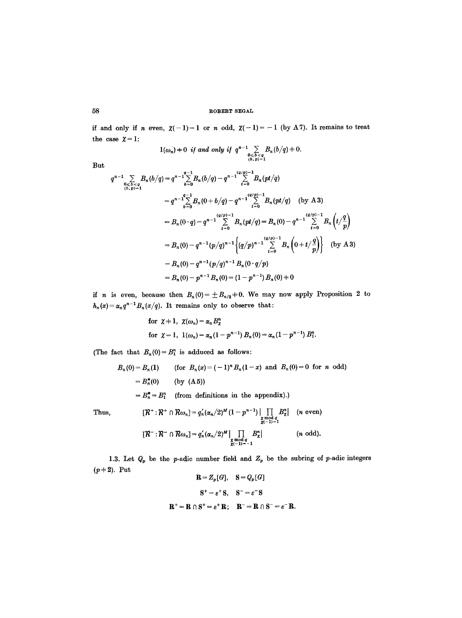if and only if n even,  $\chi(-1)=1$  or n odd,  $\chi(-1)=-1$  (by A7). It remains to treat the case  $\chi = 1$ :

$$
1(\omega_n) + 0 \text{ if and only if } q^{n-1} \sum_{\substack{0 \leqslant b < q \\ (b, p) = 1}} B_n(b/q) + 0.
$$

But

$$
q^{n-1} \sum_{\substack{0 \leq b \leq q \\ (b,p)=1}} B_n(b/q) = q^{n-1} \sum_{b=0}^{q-1} B_n(b/q) - q^{n-1} \sum_{t=0}^{(q/p)-1} B_n(pt/q)
$$
  
\n
$$
= q^{n-1} \sum_{b=0}^{q-1} B_n(0+b/q) - q^{n-1} \sum_{t=0}^{(q/p)-1} B_n(pt/q) \quad \text{(by A3)}
$$
  
\n
$$
= B_n(0 \cdot q) - q^{n-1} \sum_{t=0}^{(q/p)-1} B_n(pt/q) = B_n(0) - q^{n-1} \sum_{t=0}^{(q/p)-1} B_n(t/q)
$$
  
\n
$$
= B_n(0) - q^{n-1} (p/q)^{n-1} \Big\{ (q/p)^{n-1} \sum_{t=0}^{(q/p)-1} B_n(0+t/q) \Big\} \quad \text{(by A3)}
$$
  
\n
$$
= B_n(0) - q^{n-1} (p/q)^{n-1} B_n(0 \cdot q/p)
$$
  
\n
$$
= B_n(0) - p^{n-1} B_n(0) = (1 - p^{n-1}) B_n(0) + 0
$$

if n is even, because then  $B_n(0) = \pm B_{n/2} + 0$ . We may now apply Proposition 2 to  $h_n(x) = \alpha_n q^{n-1} B_n(x/q)$ . It remains only to observe that:

for 
$$
\chi + 1
$$
,  $\chi(\omega_n) = \alpha_n B_{\chi}^n$   
for  $\chi = 1$ ,  $1(\omega_n) = \alpha_n (1 - p^{n-1}) B_n(0) = \alpha_n (1 - p^{n-1}) B_1^n$ .

(The fact that  $B_n(0) = B_1^n$  is adduced as follows:

$$
B_n(0) = B_n(1) \qquad \text{(for } B_n(x) = (-1)^n B_n(1-x) \text{ and } B_n(0) = 0 \text{ for } n \text{ odd})
$$

$$
= B_n^*(0) \qquad \text{(by (A5))}
$$

$$
= B_n^* = B_1^n \qquad \text{(from definitions in the appendix).)}
$$

Thus,  
\n
$$
[\mathcal{R}^+:\mathcal{R}^+\cap \mathcal{R}\omega_n]=q'_n(\alpha_n/2)^M(1-p^{n-1})\left|\prod_{\substack{\chi \bmod q \\ \chi(-1)=1}} B_{\chi}^n\right| \quad (n \text{ even})
$$
\n
$$
[\mathcal{R}^-:\mathcal{R}^-\cap \mathcal{R}\omega_n]=q'_n(\alpha_n/2)^M\left|\prod_{\substack{\chi \bmod q \\ \chi(-1)=-1}} B_{\chi}^n\right| \quad (n \text{ odd}).
$$

1.3. Let  $Q_p$  be the p-adic number field and  $Z_p$  be the subring of p-adic integers  $(p+2)$ . Put  $R = 0$  =  $\Omega$  =  $\Omega$ 

$$
\mathbf{R} = Z_p[d], \quad \mathbf{S} = Q_p[d]
$$

$$
\mathbf{S}^+ = \varepsilon^+ \mathbf{S}, \quad \mathbf{S}^- = \varepsilon^- \mathbf{S}
$$

$$
\mathbf{R}^+ = \mathbf{R} \cap \mathbf{S}^+ = \varepsilon^+ \mathbf{R}; \quad \mathbf{R}^- = \mathbf{R} \cap \mathbf{S}^- = \varepsilon^- \mathbf{R}
$$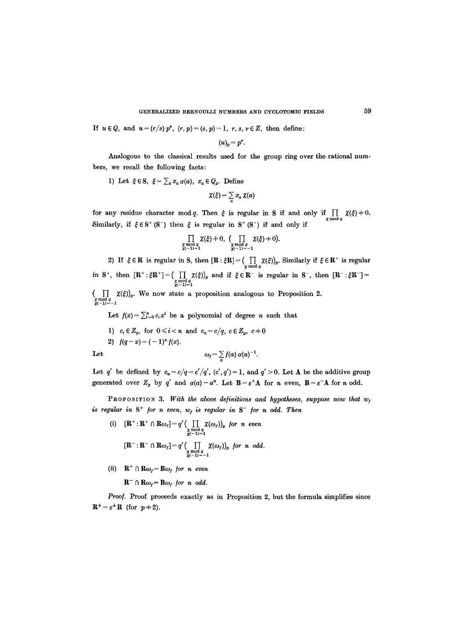If  $u \in Q$ , and  $u = (r/s) p^r$ ,  $(r, p) = (s, p) = 1$ ,  $r, s, v \in Z$ , then define:

$$
(u)_p=p^{\nu}.
$$

Analogous to the classical results used for the group ring over the rational numbers, we recall the following facts:

1) Let 
$$
\xi \in S
$$
,  $\xi = \sum_a x_a \sigma(a)$ ,  $x_a \in Q_p$ . Define

$$
\chi(\xi) = \sum_a x_a \, \chi(a)
$$

for any residue character mod q. Then  $\xi$  is regular in S if and only if  $\iint_{\mathbf{z} \bmod q} \chi(\xi) = 0$ . Similarly, if  $\xi \in S^+ (S^-)$  then  $\xi$  is regular in  $S^+ (S^-)$  if and only if

$$
\prod_{\substack{\chi \bmod q \\ \chi(-1)=1}} \chi(\xi) + 0, \quad (\prod_{\substack{\chi \bmod q \\ \chi(-1)=-1}} \chi(\xi) + 0).
$$

2) If  $\xi \in \mathbf{R}$  is regular in S, then  $[\mathbf{R} : \xi \mathbf{R}] = (\iint_{\mathbf{z} \bmod q} \chi(\xi)_{p}$ . Similarly if  $\xi \in \mathbf{R}^{+}$  is regular in S<sup>+</sup>, then  $[\mathbf{R}^+ : \xi \mathbf{R}^+] = \begin{pmatrix} \prod_{\substack{\text{z mod } q}} \chi(\xi) \\ \chi(-1) = 1 \end{pmatrix}_p$  and if  $\xi \in \mathbf{R}^-$  is regular in S<sup>-</sup>, then  $[\mathbf{R}^- : \xi \mathbf{R}^-] =$ 

 $\left\{\begin{array}{c} | \ \end{array}\right. \left\{\begin{array}{c} \chi(\xi))_p. \end{array}\right.$  We now state a proposition analogous to Proposition 2.  $\chi^{mod \, q}_{(r-1)=-1}$ 

Let  $f(x) = \sum_{i=0}^{n} c_i x^i$  be a polynomial of degree *n* such that

1)  $c_i \in Z_p$ , for  $0 \le i < n$  and  $c_n = c/q$ ,  $c \in Z_p$ ,  $c \ne 0$ 2)  $f(q-x) = (-1)^n f(x)$ .

Let  $\omega_f = \sum_a f(a) \sigma(a)^{-1}.$ 

Let q' be defined by 
$$
c_n = c/q = c'/q'
$$
,  $(c', q') = 1$ , and  $q' > 0$ . Let A be the additive group generated over  $Z_p$  by q' and  $\sigma(a) - a^n$ . Let  $B = \varepsilon^+ A$  for n even,  $B = \varepsilon^- A$  for n odd.

**PROPOSITION 3.** With the above definitions and hypotheses, suppose now that  $w_t$ *is regular in*  $S^+$  *for n even,*  $w_f$  *is regular in*  $S^-$  *for n odd. Then* 

(i) 
$$
[\mathbf{R}^+:\mathbf{R}^+ \cap \mathbf{R}\omega_f] = q' \Big( \prod_{\substack{\chi \mod q \\ \chi(-1)=1}} \chi(\omega_f) \Big)_{p}
$$
 for n even  

$$
[\mathbf{R}^-:\mathbf{R}^- \cap \mathbf{R}\omega_f] = q' \Big( \prod_{\substack{\chi \mod q \\ \chi(-1)=-1}} \chi(\omega_f) \Big)_{p}
$$
 for n odd.

(ii)  $\mathbf{R}^+ \cap \mathbf{R}\omega_f = \mathbf{B}\omega_f$  *for n even* 

 $\mathbf{R}^- \cap \mathbf{R}\omega_f = \mathbf{B}\omega_f$  for *n* odd.

Proof. Proof proceeds exactly as in Proposition 2, but the formula simplifies since  $\mathbf{R}^{\pm}=\varepsilon^{\pm}\mathbf{R}$  (for  $p\neq 2$ ).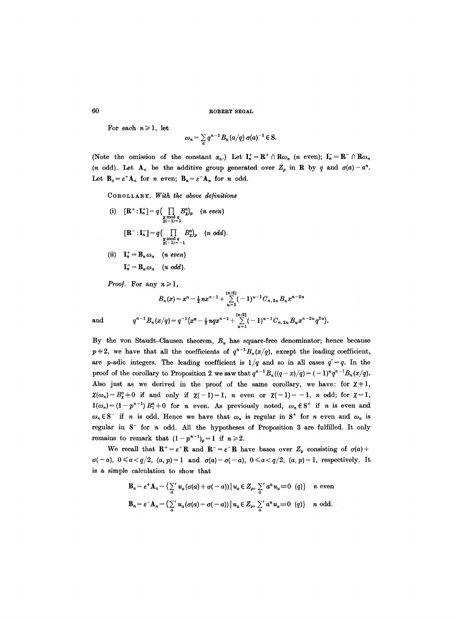For each  $n \geq 1$ , let

$$
\omega_n = \sum_{a} q^{n-1} B_n(a/q) \sigma(a)^{-1} \in S.
$$

(Note the omission of the constant  $\alpha_n$ .) Let  $I_n^+ = \mathbb{R}^+ \cap R\omega_n$  (*n* even);  $I_n^- = \mathbb{R}^- \cap R\omega_n$ (*n* odd). Let  $A_n$  be the additive group generated over  $Z_p$  in R by q and  $\sigma(a) - a^n$ . Let  $\mathbf{B}_n = \varepsilon^+ \mathbf{A}_n$  for n even;  $\mathbf{B}_n = \varepsilon^- \mathbf{A}_n$  for n odd.

COROLLARY. *With the above delinitions* 

(i) 
$$
[\mathbf{R}^+:\mathbf{I}_n^+] = q \Big( \prod_{\substack{\mathbf{x} \mod q \\ \mathbf{x}(-1) = 1}} B_{\mathbf{x},p}^n \Big) \quad (n \text{ even})
$$

$$
[\mathbf{R}^-:\mathbf{I}_n^-] = q \Big( \prod_{\substack{\mathbf{x} \mod q \\ \mathbf{x}(-1) = -1}} B_{\mathbf{x},p}^n \Big) \quad (n \text{ odd}).
$$

(ii)  $\mathbf{I}_n^+ = \mathbf{B}_n \omega_n$  (*n* even)  $I_n = B_n \omega_n$  (n odd).

*Proof.* For any  $n \ge 1$ ,

$$
B_n(x) = x^n - \frac{1}{2}nx^{n-1} + \sum_{u=1}^{\lfloor n/2 \rfloor} (-1)^{u-1}C_{n, 2u}B_u x^{n-2u}
$$
  
and  

$$
q^{n-1}B_n(x/q) = q^{-1}\left(x^n - \frac{1}{2}nqx^{n-1} + \sum_{u=1}^{\lfloor n/2 \rfloor} (-1)^{u-1}C_{n, 2u}B_ux^{n-2u}q^{2u}\right).
$$

By the von Staudt-Clausen theorem,  $B<sub>u</sub>$  has square-free denominator; hence because  $p+2$ , we have that all the coefficients of  $q^{n-1}B_n(x/q)$ , except the leading coefficient, are *p*-adic integers. The leading coefficient is  $1/q$  and so in all cases  $q' = q$ . In the proof of the corollary to Proposition 2 we saw that  $q^{n-1}B_n((q-x)/q)= (-1)^n q^{n-1}B_n(x/q)$ . Also just as we derived in the proof of the same corollary, we have: for  $\chi+1$ ,  $\chi(\omega_n)=B_{\chi}^n+0$  if and only if  $\chi(-1)=1$ , *n* even or  $\chi(-1)=-1$ , *n* odd; for  $\chi=1$ ,  $l(\omega_n)=(1-p^{n-1})B_1^n+0$  for *n* even. As previously noted,  $\omega_n\in\mathbb{S}^+$  if *n* is even and  $\omega_n \in \mathbb{S}^-$  if n is odd. Hence we have that  $\omega_n$  is regular in  $\mathbb{S}^+$  for n even and  $\omega_n$  is regular in  $S^-$  for  $n$  odd. All the hypotheses of Proposition 3 are fulfilled. It only remains to remark that  $(1-p^{n-1})_p=1$  if  $n\geq 2$ .

We recall that  $\mathbf{R}^+ = \varepsilon^+ \mathbf{R}$  and  $\mathbf{R}^- = \varepsilon^- \mathbf{R}$  have bases over  $Z_p$  consisting of  $\sigma(a)$ +  $\sigma(-a)$ ,  $0 \leq a < q/2$ ,  $(a, p) = 1$  and  $\sigma(a) - \sigma(-a)$ ,  $0 \leq a < q/2$ ,  $(a, p) = 1$ , respectively. It is a simple calculation to show that

$$
\mathbf{B}_n = \varepsilon^+ \mathbf{A}_n = \left\{ \sum_a u_a (\sigma(a) + \sigma(-a)) \mid u_a \in Z_p, \sum_a u_a u_a \equiv 0 \ (q) \right\} \quad n \text{ even}
$$
\n
$$
\mathbf{B}_n = \varepsilon^- \mathbf{A}_n = \left\{ \sum_a u_a (\sigma(a) - \sigma(-a)) \mid u_a \in Z_p, \sum_a u_a u_a \equiv 0 \ (q) \right\} \quad n \text{ odd.}
$$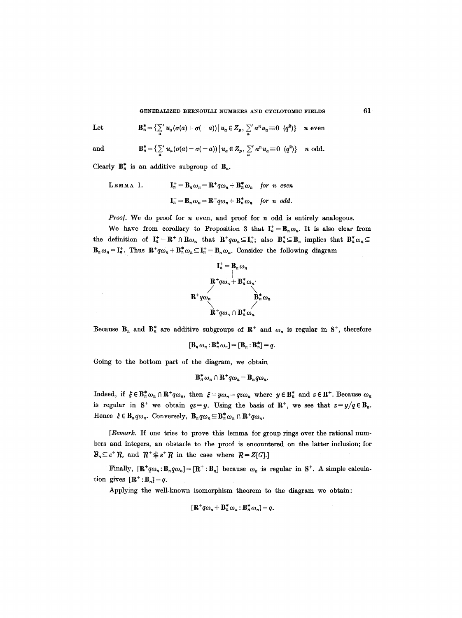GENERALIZED BERNOULLI NUMBERS AND CYCLOTOMIC FIELDS 61

Let 
$$
\mathbf{B}_{n}^{*} = \left\{ \sum_{a} u_{a} (\sigma(a) + \sigma(-a)) \, \middle| \, u_{a} \in Z_{p}, \, \sum_{a} u_{a} u_{a} \equiv 0 \, (q^{2}) \right\} \quad n \text{ even}
$$

$$
\quad\text{and}\quad
$$

 $\sim$ 

and 
$$
\mathbf{B}_n^* = \left\{ \sum_a' u_a (\sigma(a) - \sigma(-a)) \, \middle| \, u_a \in Z_p, \, \sum_a' a^n u_a \equiv 0 \, (q^2) \right\} \quad n \text{ odd.}
$$

Clearly  $B_n^*$  is an additive subgroup of  $B_n$ .

LEMMA 1. 
$$
\mathbf{I}_n^+ = \mathbf{B}_n \omega_n = \mathbf{R}^+ q \omega_n + \mathbf{B}_n^* \omega_n \text{ for } n \text{ even}
$$

$$
\mathbf{I}_n^- = \mathbf{B}_n \omega_n = \mathbf{R}^- q \omega_n + \mathbf{B}_n^* \omega_n \text{ for } n \text{ odd.}
$$

*Proof.* We do proof for *n* even, and proof for *n* odd is entirely analogous.

We have from corollary to Proposition 3 that  $I_n^+ = B_n \omega_n$ . It is also clear from the definition of  $I_n^+=\mathbb{R}^+\cap \mathbb{R}\omega_n$  that  $\mathbb{R}^+q\omega_n\subseteq I_n^+$ ; also  $\mathbb{B}_n^*\subseteq \mathbb{B}_n$  implies that  $\mathbb{B}_n^*\omega_n\subseteq$  $B_n\omega_n = I_n^+$ . Thus  $\mathbf{R}^+q\omega_n + \mathbf{B}_n^*\omega_n \subseteq I_n^+ = B_n\omega_n$ . Consider the following diagram

$$
\mathbf{I}_n^+ = \mathbf{B}_n \omega_n
$$
\n
$$
\mathbf{B}^+ q \omega_n + \mathbf{B}_n^* \omega_n
$$
\n
$$
\mathbf{B}^+ q \omega_n
$$
\n
$$
\mathbf{B}_n^* \omega_n
$$
\n
$$
\mathbf{B}_n^* \omega_n
$$

Because  $B_n$  and  $B_n^*$  are additive subgroups of  $R^+$  and  $\omega_n$  is regular in  $S^+$ , therefore

$$
[\mathbf{B}_n \omega_n \colon \mathbf{B}_n^* \omega_n] = [\mathbf{B}_n \colon \mathbf{B}_n^*] = q.
$$

Going to the bottom part of the diagram, we obtain

$$
\mathbf{B}_n^* \omega_n \cap \mathbf{R}^+ q \omega_n = \mathbf{B}_n q \omega_n.
$$

Indeed, if  $\xi \in \mathbb{B}_n^* \omega_n \cap \mathbb{R}^+ q \omega_n$ , then  $\xi = y \omega_n = q z \omega_n$  where  $y \in \mathbb{B}_n^*$  and  $z \in \mathbb{R}^+$ . Because  $\omega_n$ is regular in S<sup>+</sup> we obtain  $qz = y$ . Using the basis of R<sup>+</sup>, we see that  $z = y/q \in B_n$ . Hence  $\xi \in \mathbf{B}_n q \omega_n$ . Conversely,  $\mathbf{B}_n q \omega_n \subseteq \mathbf{B}_n^* \omega_n \cap \mathbf{R}^+ q \omega_n$ .

*[Remark.* If one tries to prove this lemma for group rings over the rational numbers and integers, an obstacle to the proof is encountered on the latter inclusion; for  $\mathcal{B}_n \subseteq \varepsilon^+ R$ , and  $\mathcal{R}^+ \not\subseteq \varepsilon^+ R$  in the case where  $\mathcal{R} = Z[G].$ 

Finally,  $[\mathbf{R}^+q\omega_n:\mathbf{B}_nq\omega_n]=[\mathbf{R}^+:\mathbf{B}_n]$  because  $\omega_n$  is regular in  $\mathbf{S}^+$ . A simple calculation gives  $[\mathbf{R}^+:\mathbf{B}_n]=q$ .

Applying the well-known isomorphism theorem to the diagram we obtain:

$$
[\mathbf{R}^+q\omega_n+\mathbf{B}_n^*\omega_n:\mathbf{B}_n^*\omega_n]=q.
$$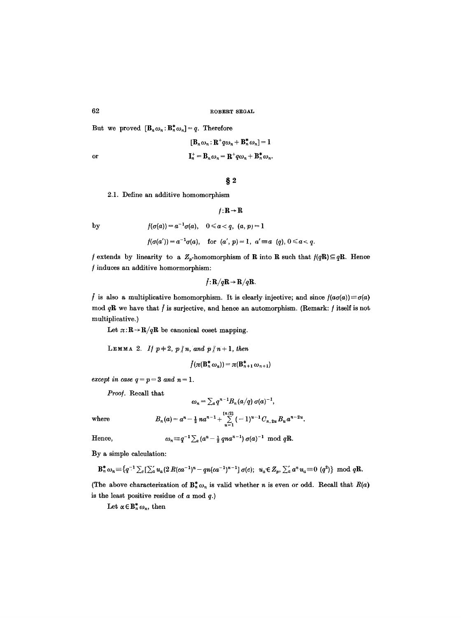But we proved  $[\mathbf{B}_n \omega_n : \mathbf{B}_n^* \omega_n] = q$ . Therefore

$$
[\mathbf{B}_n \omega_n : \mathbf{R}^+ q \omega_n + \mathbf{B}_n^* \omega_n] = 1
$$
  
or  

$$
\mathbf{I}_n^+ = \mathbf{B}_n \omega_n = \mathbf{R}^+ q \omega_n + \mathbf{B}_n^* \omega_n.
$$

# **w**

 $f: \mathbf{R} \to \mathbf{R}$ 

2.1. Define an additive homomorphism

$$
\mathbf{b}\mathbf{y}
$$

$$
f(\sigma(a')) = a^{-1}\sigma(a)
$$
, for  $(a', p) = 1$ ,  $a' \equiv a \ (q)$ ,  $0 \le a < q$ .

 $f(\sigma(a)) = a^{-1}\sigma(a), \quad 0 \leqslant a < q, \ \ (a,\, p) = 1$ 

*f* extends by linearity to a  $Z_p$ -homomorphism of **R** into **R** such that  $f(qR) \subseteq qR$ . Hence  $f$  induces an additive homormorphism:

$$
f\colon \mathbf{R}/q\mathbf{R}\to \mathbf{R}/q\mathbf{R}.
$$

 $\ddot{f}$  is also a multiplicative homomorphism. It is clearly injective; and since  $f(a\sigma(a)) \equiv \sigma(a)$ mod  $qR$  we have that  $\tilde{f}$  is surjective, and hence an automorphism. (Remark:  $f$  itself is not multiplicative.)

Let  $\pi: \mathbb{R} \to \mathbb{R}/q\mathbb{R}$  be canonical coset mapping.

**LEMMA** 2. If  $p+2$ ,  $p\nmid n$ , and  $p\nmid n+1$ , then

$$
\bar{f}(\pi(\mathbf{B}_n^*\,\omega_n))=\pi(\mathbf{B}_{n+1}^*\,\omega_{n+1})
$$

*except in case*  $q = p = 3$  *and n = 1.* 

*Proo/.* Recall that

$$
\omega_n=\sum_a q^{n-1}B_n(a/q)\sigma(a)^{-1},
$$

where 
$$
B_n(a) = a^n - \frac{1}{2}na^{n-1} + \sum_{u=1}^{\lfloor n/2 \rfloor} (-1)^{u-1}C_{n, 2u}B_u a^{n-2u}.
$$

Hence,  $\omega_n \equiv q^{-1} \sum_a (a^n - \frac{1}{2} \text{ and } a^{n-1}) \sigma(a)^{-1} \mod qR.$ 

By a simple calculation:

$$
\mathbf{B}_n^* \omega_n \equiv \{ q^{-1} \sum_c [\sum_a' u_a (2 R (c a^{-1})^n - q n (c a^{-1})^{n-1}] \sigma(c); \ \ u_a \in Z_p, \ \sum_a' a^n u_a \equiv 0 \ (q^2) \} \ \ \text{mod} \ q\mathbf{R}.
$$

(The above characterization of  $B_n^* \omega_n$  is valid whether *n* is even or odd. Recall that  $R(a)$ is the least positive residue of  $a \mod q$ .)

Let  $\alpha \in \mathbb{B}_n^* \, \omega_n,$  then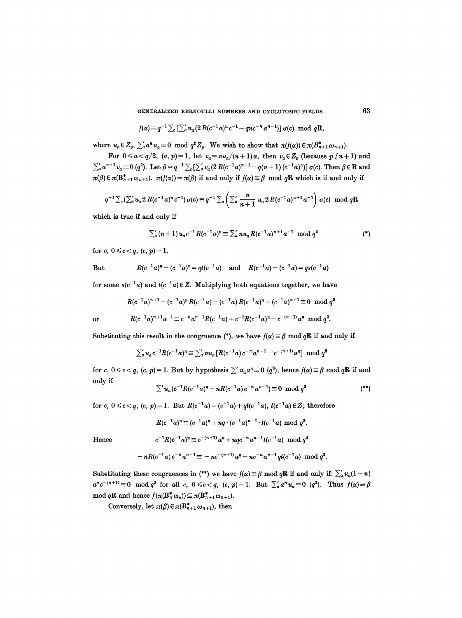GENERALIZED BERNOULLI NUMBERS AND CYCLOTOMIC FIELDS 63

$$
f(\alpha) \equiv q^{-1} \sum_c \left[ \sum_a' u_a (2R(c^{-1}a)^n c^{-1} - qnc^{-n}a^{n-1}) \right] \sigma(c) \mod qR,
$$

where  $u_a \in Z_p$ ,  $\sum_a a^n u_a \equiv 0 \mod q^2 Z_p$ . We wish to show that  $\pi(f(\alpha)) \in \pi(B_{n+1}^* \omega_{n+1})$ .

For  $0 \leq a < q/2$ ,  $(a, p) = 1$ , let  $v_a = nu_a/(n+1)a$ , then  $v_a \in Z_p$  (because  $p \nmid n+1$ ) and  $\sum_{a} a^{n+1} v_a \equiv 0$  (q<sup>2</sup>). Let  $\beta = q^{-1} \sum_{c} [\sum_{a}^{\prime} v_a (2 R(c^{-1}a)^{n+1} - q(n+1) (c^{-1}a)^n)] \sigma(c)$ . Then  $\beta \in \mathbb{R}$  and  $\pi(\beta) \in \pi(\mathbf{B}_{n+1}^* \omega_{n+1})$ .  $\pi(f(\alpha)) = \pi(\beta)$  if and only if  $f(\alpha) \equiv \beta \mod q\mathbf{R}$  which is if and only if

$$
q^{-1}\sum_{c}(\sum_{a} u_{a} 2 R(c^{-1} a)^{n} c^{-1}) \sigma(c) \equiv q^{-1}\sum_{c} \left(\sum_{a} \frac{n}{n+1} u_{a} 2 R(c^{-1} a)^{n+1} a^{-1}\right) \sigma(c) \mod qR
$$

which is true if and only if

$$
\sum_{a}^{\prime} (n+1) u_{a} c^{-1} R(c^{-1} a)^{n} \equiv \sum_{a}^{\prime} n u_{a} R(c^{-1} a)^{n+1} a^{-1} \mod q^{2}
$$
 (\*)

for c,  $0 \leq c < q$ ,  $(c, p) = 1$ .

But 
$$
R(c^{-1}a)^n - (c^{-1}a)^n = qt(c^{-1}a)
$$
 and  $R(c^{-1}a) - (c^{-1}a) = qs(c^{-1}a)$ 

for some  $s(c^{-1}a)$  and  $t(c^{-1}a) \in \mathbb{Z}$ . Multiplying both equations together, we have

$$
R(c^{-1}a)^{n+1} - (c^{-1}a)^n R(c^{-1}a) - (c^{-1}a)R(c^{-1}a)^n + (c^{-1}a)^{n+1} \equiv 0 \mod q^2
$$
  
or 
$$
R(c^{-1}a)^{n+1}a^{-1} \equiv c^{-n}a^{n-1}R(c^{-1}a) + c^{-1}R(c^{-1}a)^n - c^{-(n+1)}a^n \mod q^2.
$$

Substituting this result in the congruence (\*), we have  $f(\alpha) \equiv \beta \mod qR$  if and only if

$$
\sum_{a}^{\prime} u_{a} c^{-1} R(c^{-1} a)^{n} \equiv \sum_{a}^{\prime} n u_{a} [R(c^{-1} a) c^{-n} a^{n-1} - c^{-(n+1)} a^{n}] \mod q^{2}
$$

for c,  $0 \leq c < q$ ,  $(c, p) = 1$ . But by hypothesis  $\sum' u_a a^n \equiv 0 \ (q^2)$ , hence  $f(\alpha) \equiv \beta \mod qR$  if and only if

$$
\sum' u_a (c^{-1} R (c^{-1} a)^n - n R (c^{-1} a) c^{-n} a^{n-1}) \equiv 0 \mod q^2
$$
 (\*)

for c,  $0 \leq c < q$ ,  $(c, p) = 1$ . But  $R(c^{-1}a) = (c^{-1}a) + qt(c^{-1}a)$ ,  $t(c^{-1}a) \in \mathbb{Z}$ ; therefore

$$
R(c^{-1}a)^n \equiv (c^{-1}a)^n + nq \cdot (c^{-1}a)^{n-1} \cdot t(c^{-1}a) \mod q^2.
$$

Hence 
$$
c^{-1}R(c^{-1}a)^n \equiv c^{-(n+1)}a^n + nqc^{-n}a^{n-1}t(c^{-1}a) \mod q^2
$$

$$
-nR(c^{-1}a)c^{-n}a^{n-1}\equiv -nc^{-(n+1)}a^n - nc^{-n}a^{n-1}qt(c^{-1}a) \mod q^2.
$$

Substituting these congruences in (\*\*) we have  $f(x) \equiv \beta \mod qR$  if and only if:  $\sum_{a} u_a(1-n)$  $a^nc^{-(n+1)} \equiv 0 \mod q^2$  for all *c*,  $0 \leq c < q$ ,  $(c, p) = 1$ . But  $\sum_{a}^{\infty} a^n u_a \equiv 0 \ (q^2)$ . Thus  $f(\alpha) \equiv \beta$ mod qR and hence  $\bar{f}(\pi(\mathbf{B}_n^* \omega_n)) \subseteq \pi(\mathbf{B}_{n+1}^* \omega_{n+1}).$ 

Conversely, let  $\pi(\beta) \in \pi(\mathbf{B}_{n+1}^* \omega_{n+1})$ , then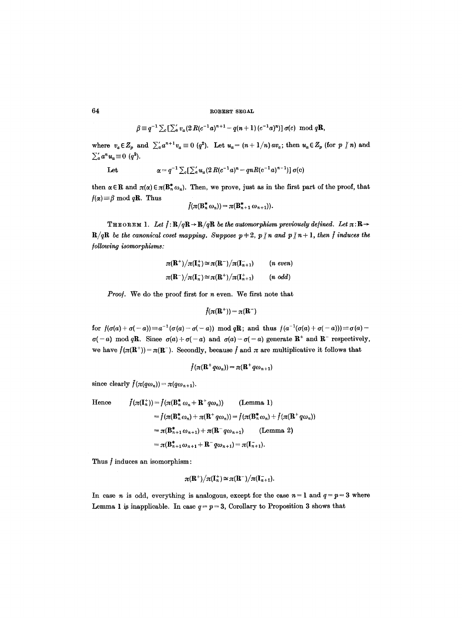$$
\beta \equiv q^{-1} \sum_{c} \left[ \sum_{a}^{\prime} v_{a} (2 R (c^{-1} a)^{n+1} - q(n+1) (c^{-1} a)^{n} ) \right] \sigma(c) \mod qR,
$$

where  $v_a \in Z_p$  and  $\sum'_a a^{n+1} v_a \equiv 0$  (q<sup>2</sup>). Let  $u_a = (n+1/n) a v_a$ ; then  $u_a \in Z_p$  (for p  $\nmid n$ ) and  $\sum_{a}^{\prime} a^n u_a \equiv 0 \; (q^2).$ 

Let 
$$
\alpha = q^{-1} \sum_{c} \left[ \sum_{a}^{\prime} u_{a} (2 R (c^{-1} a)^{n} - q n R (c^{-1} a)^{n-1}) \right] \sigma(c)
$$

then  $\alpha \in \mathbb{R}$  and  $\pi(\alpha) \in \pi(\mathbb{B}_n^* \omega_n)$ . Then, we prove, just as in the first part of the proof, that  $f(\alpha) \equiv \beta \mod q$ **R**. Thus

$$
\bar{f}(\pi(\mathbf{B}_n^*\omega_n))=\pi(\mathbf{B}_{n+1}^*\omega_{n+1})).
$$

**THEOREM 1.** Let  $f: \mathbf{R}/q\mathbf{R} \to \mathbf{R}/q\mathbf{R}$  be the automorphism previously defined. Let  $\pi: \mathbf{R} \to$  $R/qR$  be the canonical coset mapping. Suppose  $p+2$ ,  $p \nmid n$  and  $p \nmid n+1$ , then  $\tilde{f}$  induces the */oUowing isomorphisms:* 

$$
\pi(\mathbf{R}^+)/\pi(\mathbf{I}_n^+) \simeq \pi(\mathbf{R}^-)/\pi(\mathbf{I}_{n+1}^-) \qquad (n \text{ even})
$$
  

$$
\pi(\mathbf{R}^-)/\pi(\mathbf{I}_n^-) \simeq \pi(\mathbf{R}^+)/\pi(\mathbf{I}_{n+1}^+) \qquad (n \text{ odd})
$$

*Proof.* We do the proof first for *n* even. We first note that

$$
\bar{f}(\pi(\mathbf{R}^+))=\pi(\mathbf{R}^-)
$$

for  $f(\sigma(a) + \sigma(-a)) \equiv a^{-1}(\sigma(a) - \sigma(-a)) \mod qR$ ; and thus  $f(a^{-1}(\sigma(a) + \sigma(-a))) \equiv \sigma(a) \sigma(-a) \mod qR$ . Since  $\sigma(a) + \sigma(-a)$  and  $\sigma(a) - \sigma(-a)$  generate  $R^+$  and  $R^-$  respectively, we have  $\tilde{f}(\pi(\mathbf{R}^+))=\pi(\mathbf{R}^-)$ . Secondly, because  $\tilde{f}$  and  $\pi$  are multiplicative it follows that

$$
f(\pi(\mathbf{R}^+q\omega_n))=\pi(\mathbf{R}^+q\omega_{n+1})
$$

since clearly  $\bar{f}(\pi(q\omega_n))=\pi(q\omega_{n+1}).$ 

Hence 
$$
f(\pi(\mathbf{I}_n^+)) = f(\pi(\mathbf{B}_n^* \omega_n + \mathbf{R}^+ q \omega_n)) \qquad \text{(Lemma 1)}
$$

$$
= f(\pi(\mathbf{B}_n^* \omega_n) + \pi(\mathbf{R}^+ q \omega_n)) = f(\pi(\mathbf{B}_n^* \omega_n) + f(\pi(\mathbf{R}^+ q \omega_n))
$$

$$
= \pi(\mathbf{B}_{n+1}^* \omega_{n+1}) + \pi(\mathbf{R}^- q \omega_{n+1}) \qquad \text{(Lemma 2)}
$$

$$
= \pi(\mathbf{B}_{n+1}^* \omega_{n+1} + \mathbf{R}^- q \omega_{n+1}) = \pi(\mathbf{I}_{n+1}^-).
$$

Thus  $\ddot{f}$  induces an isomorphism:

$$
\pi(\mathbf R^+)/\pi(\mathbf I_n^+)\cong \pi(\mathbf R^-)/\pi(\mathbf I_{n+1}^-).
$$

In case *n* is odd, everything is analogous, except for the case  $n = 1$  and  $q = p = 3$  where Lemma 1 is inapplicable. In case  $q = p = 3$ , Corollary to Proposition 3 shows that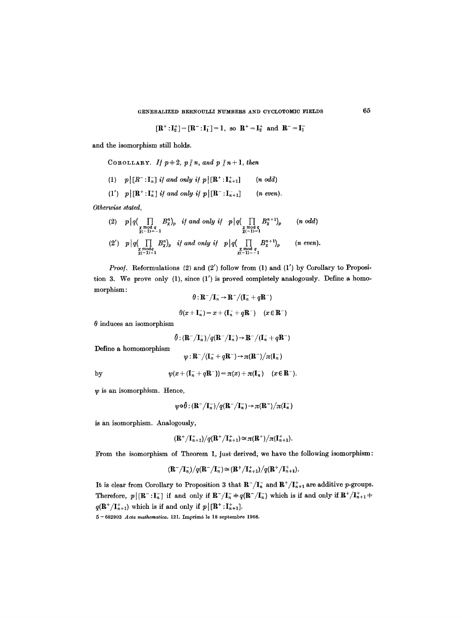GENEEALIZED BERNOULLI NUMBERS AND CYCLOTOMIC FIELDS 65

$$
[\mathbf{R}^+:\mathbf{I}_2^+] = [\mathbf{R}^-:\mathbf{I}_1^-] = 1, \text{ so } \mathbf{R}^+ = \mathbf{I}_2^+ \text{ and } \mathbf{R}^- = \mathbf{I}_1^-
$$

and the isomorphism still holds.

COROLLARY. If 
$$
p \neq 2
$$
,  $p \nmid n$ , and  $p \nmid n+1$ , then

$$
(1) \quad p \big| \big[ R^{-} : \mathbf{I}_{n}^{-} \big] \text{ if and only if } p \big| \big[ \mathbf{R}^{+} : \mathbf{I}_{n+1}^{+} \big] \qquad (n \text{ odd})
$$

(1')  $p\,|\,[\mathbf{R}^*: \mathbf{I}_n^+]$  if and only if  $p\,|\,[\mathbf{R}^*: \mathbf{I}_{n+1}^-]$  (n even).

*Otherwise stated,* 

(2) 
$$
p|q(\prod_{\substack{x \mod q \\ \chi(-1)=-1}} B_{x}^{n})_{p}
$$
 if and only if  $p|q(\prod_{\substack{x \mod q \\ \chi(-1)=1}} B_{x}^{n+1})_{p}$  (n odd)  
(2')  $p|q(\prod_{\substack{x \mod q \\ \chi \mod q \\ \chi(-1)=1}} B_{x}^{n})_{p}$  if and only if  $p|q(\prod_{\substack{x \mod q \\ \chi(-1)=-1}} B_{x}^{n+1})_{p}$  (n even).

*Proof.* Reformulations (2) and (2') follow from (1) and (1') by Corollary to Proposition 3. We prove only (1), since (1') is proved completely analogously, Define a homomorphism :

$$
\theta: \mathbf{R}^-/\mathbf{I}_n^- \to \mathbf{R}^-/(\mathbf{I}_n^- + q\mathbf{R}^-)
$$

$$
\theta(x+\mathbf{I}_n^-)=x+(\mathbf{I}_n^-+q\mathbf{R}^-)\quad (x\in\mathbf{R}^-)
$$

 $\theta$  induces an isomorphism

 $\tilde{\theta}:$   $(\mathbf{R}^-/\mathbf{I}_n^-)/q(\mathbf{R}^-/\mathbf{I}_n^-)\rightarrow \mathbf{R}^-/(\mathbf{I}_n^-+q\mathbf{R}^-)$ 

Define a homomorphism

 $\psi : {\bf R}^-/({\bf I}_n^- + q {\bf R}^-) \rightarrow \pi ({\bf R}^-)/\pi ({\bf I}_n^-)$ 

by 
$$
\psi(x+(\mathbf{I}_n^+ + q\mathbf{R}^-)) = \pi(x) + \pi(\mathbf{I}_n^-) \quad (x \in \mathbf{R}^-).
$$

 $\psi$  is an isomorphism. Hence,

$$
\psi\!\circ\!\delta\!:(\mathbf{R}^-/\mathbf{I}_n^-)/q(\mathbf{R}^-/\mathbf{I}_n^-)\!\rightarrow\!\pi(\mathbf{R}^-)/\pi(\mathbf{I}_n^-)
$$

is an isomorphism. Analogously,

$$
(\mathbf{R}^+/\mathbf{I}_{n+1}^+)/q(\mathbf{R}^+/\mathbf{I}_{n+1}^+)\simeq \pi(\mathbf{R}^+)/\pi(\mathbf{I}_{n+1}^+).
$$

From the isomorphism of Theorem 1, just derived, we have the following isomorphism:

$$
(\mathbf{R}^-/\mathbf{I}_n^-)/q(\mathbf{R}^-/\mathbf{I}_n^-)\simeq (\mathbf{R}^+/\mathbf{I}_{n+1}^+)/q(\mathbf{R}^+/\mathbf{I}_{n+1}^+).
$$

It is clear from Corollary to Proposition 3 that  $\mathbb{R}^{-}/I_{n}^{-}$  and  $\mathbb{R}^{+}/I_{n+1}^{+}$  are additive p-groups. Therefore,  $p\lfloor [\mathbf{R}^-:\mathbf{I}_n^-]$  if and only if  $\mathbf{R}^-/\mathbf{I}_n^-+q(\mathbf{R}^-/\mathbf{I}_n^-)$  which is if and only if  $\mathbf{R}^+/\mathbf{I}_{n+1}^+$  +  $q(\mathbf{R}^+/I_{n+1}^+)$  which is if and only if  $p | [\mathbf{R}^+ : I_{n+1}^+]$ .

 $5-682903$  *Acta mathematica,* 121. Imprimé le 18 septembre 1968.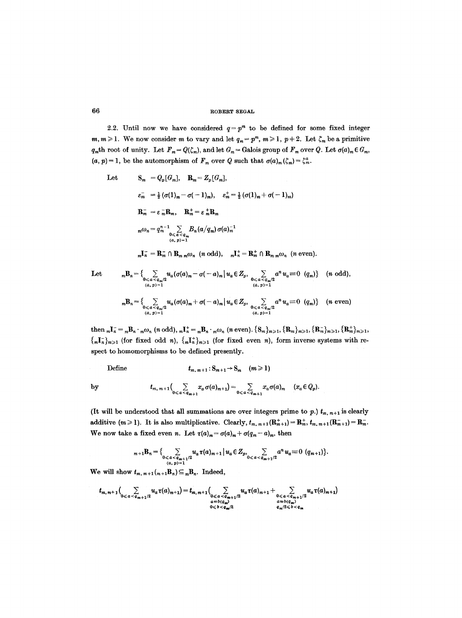2.2. Until now we have considered  $q = p^m$  to be defined for some fixed integer  $m, m \geq 1$ . We now consider m to vary and let  $q_m = p^m$ ,  $m \geq 1$ ,  $p + 2$ . Let  $\zeta_m$  be a primitive  $q_m$ th root of unity. Let  $F_m = Q(\zeta_m)$ , and let  $G_m =$  Galois group of  $F_m$  over  $Q$ . Let  $\sigma(a)_m \in G_m$ ,  $(a, p) = 1$ , be the automorphism of  $F_m$  over Q such that  $\sigma(a)_m(\zeta_m) = \zeta_m^a$ .

Let 
$$
\mathbf{S}_m = Q_p[G_m], \quad \mathbf{R}_m = Z_p[G_m],
$$

$$
\varepsilon_m^- = \frac{1}{2} (\sigma(1)_m - \sigma(-1)_m), \quad \varepsilon_m^+ = \frac{1}{2} (\sigma(1)_m + \sigma(-1)_m)
$$

$$
\mathbf{R}_m^- = \varepsilon_m^- \mathbf{R}_m, \quad \mathbf{R}_m^+ = \varepsilon_m^+ \mathbf{R}_m
$$

$$
m\omega_n = q_m^{n-1} \sum_{\substack{0 \le a < q_m \\ (a, p) = 1}} B_n(a/q_m) \sigma(a)_m^{-1}
$$

$$
m\mathbf{I}_n^- = \mathbf{R}_m^- \cap \mathbf{R}_m \, m\omega_n \quad (n \text{ odd}), \quad m\mathbf{I}_n^+ = \mathbf{R}_m^+ \cap \mathbf{R}_m \, m\omega_n \quad (n \text{ even}).
$$

Let 
$$
{}_{m}B_{n} = \{ \sum_{\substack{0 \leq a < q_{m}/2 \\ (a, p) = 1}} u_{a}(\sigma(a)_{m} - \sigma(-a)_{m} | u_{a} \in Z_{p}, \sum_{\substack{0 \leq a < q_{m}/2 \\ (a, p) = 1}} a^{n} u_{a} \equiv 0 \ (q_{m}) \} \quad (n \text{ odd}),
$$
\n
$$
{}_{m}B_{n} = \{ \sum_{\substack{0 \leq a < q_{m}/2 \\ (a, p) = 1}} u_{a}(\sigma(a)_{m} + \sigma(-a)_{m} | u_{a} \in Z_{p}, \sum_{\substack{0 \leq a < q_{m}/2 \\ (a, p) = 1}} a^{n} u_{a} \equiv 0 \ (q_{m}) \} \quad (n \text{ even})
$$

 $\text{then } {}_{m}\textbf{I}_{n}^{-} = {}_{m}\textbf{B}_{n} \cdot {}_{m}\omega_{n} \text{ (}n \text{ odd)}\text{, } {}_{m}\textbf{I}_{n}^{+} = {}_{m}\textbf{B}_{n} \cdot {}_{m}\omega_{n} \text{ (}n \text{ even)}\text{. }\{S_{m}\}_{m\geqslant 1}, \{R_{m}\}_{m\geqslant 1}, \{R_{m}^{+}\}_{m\geqslant 1}, \{R_{m}^{+}\}_{m\geqslant 1},$  ${m \choose m}$ ,  ${m \choose m}$  (for fixed odd n),  ${m \choose m}$ , (for fixed even n), form inverse systems with re**spect to homomorphisms to be defined presently.** 

**Define**  $t_{m,m+1}:S_{m+1} \to S_m \quad (m \ge 1)$ 

by 
$$
t_{m, m+1}\Big(\sum_{0\leqslant a\leqslant a_{m+1}}x_a\,\sigma(a)_{m+1}\Big)=\sum_{0\leqslant a\leqslant a_{m+1}}x_a\,\sigma(a)_m\quad(x_a\in Q_p).
$$

(It will be understood that all summations are over integers prime to  $p$ .)  $t_{m, m+1}$  is clearly **additive (m > 1).** It is also multiplicative. Clearly,  $t_{m, m+1}(\mathbf{R}_{m+1}^+) = \mathbf{R}_m^+, t_{m, m+1}(\mathbf{R}_{m+1}^-) = \mathbf{R}_m^-$ . We now take a fixed even *n*. Let  $\tau(a)_m = \sigma(a)_m + \sigma(q_m - a)_m$ , then

$$
{}_{m+1}B_n=\big\{\sum_{\substack{0
$$

We will show  $t_{m, m+1}(m+1)B_n \subseteq mB_n$ . Indeed,

$$
t_{m,m+1}\Big(\sum_{0  

$$
\sum_{\substack{a=b(a_m)\\ 0
$$
$$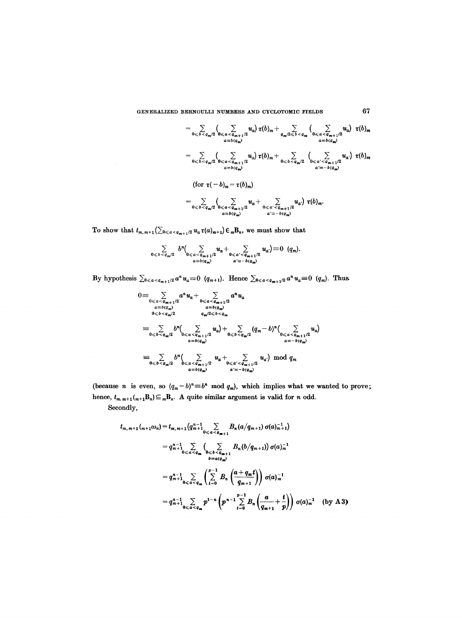$$
= \sum_{0 \leq b < q_m/2} \left( \sum_{0 \leq a < q_{m+1}/2} u_a \right) \tau(b)_m + \sum_{q_m/2 \leq b < q_m} \left( \sum_{0 \leq a < q_{m+1}/2} u_a \right) \tau(b)_m
$$
\n
$$
= \sum_{0 \leq b < q_m/2} \left( \sum_{0 \leq a < q_{m+1}/2} u_a \right) \tau(b)_m + \sum_{0 \leq b < q_m/2} \left( \sum_{0 \leq a' < q_{m+1}/2} u_a \right) \tau(b)_m
$$
\n
$$
= \sum_{a = b(q_m)} \left( \sum_{a = b(q_m)} u_a \right) \tau(b)_m
$$
\n
$$
= \sum_{0 \leq b < q_m/2} \left( \sum_{0 \leq a < q_{m+1}/2} u_a + \sum_{0 \leq a' < q_{m+1}/2} u_a \right) \tau(b)_m.
$$
\n
$$
= \sum_{a = b(q_m)} \left( \sum_{a = b(q_m)} u_a + \sum_{0 \leq a' < q_{m+1}/2} u_a \right) \tau(b)_m.
$$

To show that  $t_{m, m+1}$  ( $\sum_{0 \le a \le a_{m+1}/2} u_a \tau(a)_{m+1}$ )  $\in {}_mB_n$ , we must show that

$$
\sum_{0\leq b < q_m/2} b^n \Biggl(\sum_{\substack{0\leq a < q_{m+1}/2\\ a \equiv b(q_m)}} u_a + \sum_{\substack{0\leq a' < q_{m+1}/2\\ a' \equiv -b(q_m)}} u_{a'} \Biggr) \equiv 0 \quad (q_m).
$$

By hypothesis  $\sum_{0 \leq a < a_{m+1}/2} a^n u_a \equiv 0 \ (q_{m+1})$ . Hence  $\sum_{0 \leq a < a_{m+1}/2} a^n u_a \equiv 0 \ (q_m)$ . Thus

$$
0 = \sum_{0 \le a < q_{m+1}/2} a^n u_a + \sum_{0 \le a < q_{m+1}/2} a^n u_a
$$
\n
$$
a = b(q_m)
$$
\n
$$
0 \le b < q_m/2
$$
\n
$$
0 \le b < q_m/2
$$
\n
$$
0 \le b < q_m/2
$$
\n
$$
0 \le a < q_{m+1}/2
$$
\n
$$
0 \le b < q_m/2
$$
\n
$$
0 \le a < q_{m+1}/2
$$
\n
$$
0 \le b < q_m/2
$$
\n
$$
0 \le a < q_{m+1}/2
$$
\n
$$
0 \le b < q_m/2
$$
\n
$$
0 \le a < q_{m+1}/2
$$
\n
$$
0 \le a < q_{m+1}/2
$$
\n
$$
0 \le a < q_{m+1}/2
$$
\n
$$
0 \le a < q_{m+1}/2
$$
\n
$$
0 \le a < q_{m+1}/2
$$
\n
$$
0 \le a < q_{m+1}/2
$$
\n
$$
0 \le a < q_{m+1}/2
$$
\n
$$
0 \le a < q_{m+1}/2
$$
\n
$$
0 \le a < q_{m+1}/2
$$
\n
$$
0 \le a < q_{m+1}/2
$$
\n
$$
0 \le a < q_{m+1}/2
$$
\n
$$
0 \le a < q_{m+1}/2
$$
\n
$$
0 \le a < q_{m+1}/2
$$
\n
$$
0 \le a < q_{m+1}/2
$$
\n
$$
0 \le a < q_m/2
$$
\n
$$
0 \le a < q_m/2
$$
\n
$$
0 \le a < q_m/2
$$
\n
$$
0 \le a < q_m/2
$$
\n
$$
0 \le a < q_m/2
$$

(because *n* is even, so  $(q_m-b)^n \equiv b^n \mod q_m$ ), which implies what we wanted to prove; hence,  $t_{m. m+1}$  $\left( {}_{m+1}B_{n}\right) \subseteq {}_{m}B_{n}$ . A quite similar argument is valid for n odd. **Secondly,** 

$$
t_{m,m+1}(m+1\omega_n) = t_{m,m+1}(q_{m+1}^{n-1} \sum_{0 \leq a \leq q_{m+1}} B_n(a/q_{m+1}) \sigma(a)_{m+1}^{-1})
$$
  
\n
$$
= q_{m+1}^{n-1} \sum_{0 \leq a \leq q_m} \left( \sum_{0 \leq b \leq q_{m+1}} B_n(b/q_{m+1}) \right) \sigma(a)_{m}^{-1}
$$
  
\n
$$
= q_{m+1}^{n-1} \sum_{0 \leq a \leq q_m} \left( \sum_{t=0}^{p-1} B_n \left( \frac{a+q_{m}t}{q_{m+1}} \right) \right) \sigma(a)_{m}^{-1}
$$
  
\n
$$
= q_{m+1}^{n-1} \sum_{0 \leq a \leq q_m} p^{1-n} \left( p^{n-1} \sum_{t=0}^{p-1} B_n \left( \frac{a}{q_{m+1}} + \frac{t}{p} \right) \right) \sigma(a)_{m}^{-1} \quad \text{(by A3)}
$$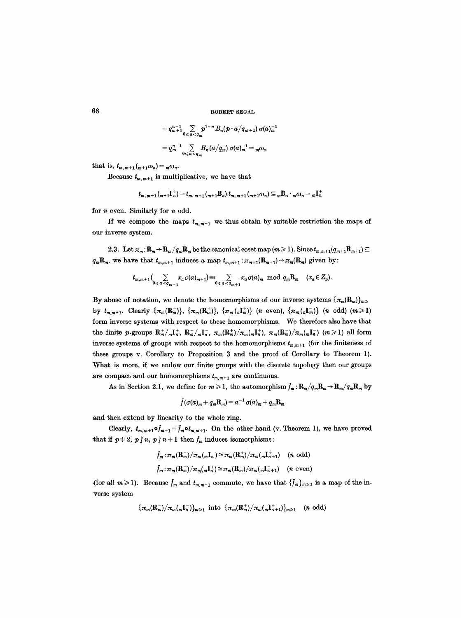$$
= q_{m+1}^{n-1} \sum_{0 \leq a < a_m} p^{1-n} B_n (p \cdot a / q_{m+1}) \sigma(a)_m^{-1}
$$
\n
$$
= q_m^{n-1} \sum_{0 \leq a < a_m} B_n (a / q_m) \sigma(a)_m^{-1} = {}_m \omega_n
$$

that is,  $t_{m,m+1}(m+1\omega_n) = m\omega_n$ .

Because  $t_{m,m+1}$  is multiplicative, we have that

$$
t_{m,m+1}({}_{m+1}\mathbf{I}_{n}^{+})=t_{m,m+1}({}_{m+1}\mathbf{B}_{n})\ t_{m,m+1}({}_{m+1}\omega_{n})\subseteq {}_{m}\mathbf{B}_{n}\cdot {}_{m}\omega_{n}={}_{m}\mathbf{I}_{n}^{+}
$$

for n even. Similarly for n odd.

If we compose the maps  $t_{m,m+1}$  we thus obtain by suitable restriction the maps of our inverse system.

2.3. Let  $\pi_m: \mathbb{R}_m \to \mathbb{R}_m / q_m \mathbb{R}_m$  be the canonical coset map  $(m \geq 1)$ . Since  $t_{m,m+1}(q_{m+1}\mathbb{R}_{m+1}) \subseteq$  $q_m\mathbf{R}_m$ , we have that  $t_{m,m+1}$  induces a map  $t_{m,m+1}:\pi_{m+1}(\mathbf{R}_{m+1})\to\pi_m(\mathbf{R}_m)$  given by:

$$
t_{m,m+1}\Big(\sum_{0\leqslant a\leqslant q_{m+1}}x_a\sigma(a)_{m+1}\Big)\equiv\sum_{0\leqslant a\leqslant q_{m+1}}x_a\sigma(a)_m\ \ \mathrm{mod}\ \ q_m\mathbb{R}_m\ \ (x_a\in Z_p).
$$

By abuse of notation, we denote the homomorphisms of our inverse systems  $\{\pi_m(\mathbf{R}_m)\}_{m>0}$ by  $t_{m,m+1}$ . Clearly  $\{\pi_m(\mathbf{R}_m^+)\}, \{\pi_m(\mathbf{R}_m^+)\}, \{\pi_m(\pi_m^+\})$  (n even),  $\{\pi_m(\pi_m^-\})$  (n odd)  $(m \geq 1)$ form inverse systems with respect to these homomorphisms. We therefore also have that the finite p-groups  $\mathbf{R}_m^+/_m\mathbf{I}_n^+, \ \mathbf{R}_m^-/_m\mathbf{I}_n^-, \ \pi_m(\mathbf{R}_m^+)/\pi_m(\pi_n^+), \ \pi_m(\mathbf{R}_m^-)/\pi_m(\pi_n^-)$  ( $m \geq 1$ ) all form inverse systems of groups with respect to the homomorphisms  $t_{m,m+1}$  (for the finiteness of these groups v. Corollary to Proposition 3 and the proof of Corollary to Theorem 1). What is more, if we endow our finite groups with the discrete topology then our groups are compact and our homomorphisms  $t_{m,m+1}$  are continuous.

As in Section 2.1, we define for  $m \geq 1$ , the automorphism  $f_m : \mathbf{R}_m / q_m \mathbf{R}_m \to \mathbf{R}_m / q_m \mathbf{R}_m$  by

$$
\bar{f}(\sigma(a)_m + q_m \mathbf{R}_m) = a^{-1} \sigma(a)_m + q_m \mathbf{R}_m
$$

and then extend by linearity to the whole ring.

Clearly,  $t_{m,m+1} \circ f_{m+1} = f_m \circ t_{m,m+1}$ . On the other hand (v. Theorem 1), we have proved that if  $p+2$ ,  $p \nmid n$ ,  $p \nmid n+1$  then  $f_m$  induces isomorphisms:

$$
f_m: \pi_m(\mathbf{R}_m^-)/\pi_m(\mathbf{A}_n^-) \cong \pi_m(\mathbf{R}_m^+)/\pi_m(\mathbf{A}_{n+1}^+)
$$
 (*n* odd)  

$$
f_m: \pi_m(\mathbf{R}_m^+)/\pi_m(\mathbf{A}_n^+) \cong \pi_m(\mathbf{R}_m^-)/\pi_m(\mathbf{A}_{n+1}^-)
$$
 (*n* even)

(for all  $m \ge 1$ ). Because  $f_m$  and  $t_{m,m+1}$  commute, we have that  $\{f_m\}_{m\ge 1}$  is a map of the inverse system

$$
\{\pi_m(\mathbf{R}_m^-)/\pi_m(\mathbf{R}_n^{\top})\}_{m\geq 1} \text{ into } \{\pi_m(\mathbf{R}_m^+)/\pi_m(\mathbf{R}_{n+1}^{\top})\}_{m\geq 1} \quad (n \text{ odd})
$$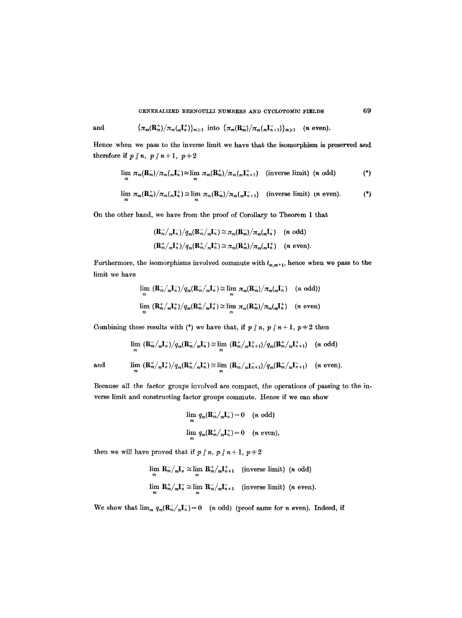and 
$$
{\lbrace \pi_m(\mathbf{R}_m^+) / \pi_m(\pi_\mathbf{R}^+)} \rbrace_{m \geq 1} \text{ into } {\lbrace \pi_m(\mathbf{R}_m^-) / \pi_m(\pi_{n+1}^-)} \rbrace_{m \geq 1} \quad (n \text{ even}).
$$

Hence when we pass to the inverse limit we have that the isomorphism is preserved and therefore if  $p \nmid n, p \nmid n+1, p+2$ 

$$
\lim_{m} \pi_{m}(\mathbf{R}_{m}^{-})/\pi_{m}(\mathbf{R}_{n}^{\top}) \simeq \lim_{m} \pi_{m}(\mathbf{R}_{m}^{+})/\pi_{m}(\mathbf{R}_{n+1}^{\top}) \quad \text{(inverse limit)} \quad (n \text{ odd)} \tag{*}
$$

$$
\lim_{m} \pi_{m}(\mathbf{R}_{m}^{+})/\pi_{m}(\mathbf{R}_{n}^{+}) \cong \lim_{m} \pi_{m}(\mathbf{R}_{m}^{-})/\pi_{m}(\mathbf{R}_{n+1}^{-}) \quad \text{(inverse limit)} \quad (n \text{ even}). \tag{*}
$$

On the other hand, we have from the proof of Corollary to Theorem 1 that

$$
\begin{aligned} & (\mathbf{R}_m^- / {}_m \mathbf{I}_n^-) / q_m (\mathbf{R}_m^- / {}_m \mathbf{I}_n^-) \cong \pi_m (\mathbf{R}_m^-) / \pi_m (\mathbf{I}_n^-) \quad (n \text{ odd}) \\ & (\mathbf{R}_m^+ / {}_m \mathbf{I}_n^+) / q_m (\mathbf{R}_m^+ / {}_m \mathbf{I}_n^+) \cong \pi_m (\mathbf{R}_m^+) / \pi_m (\mathbf{I}_n^-) \quad (n \text{ even}). \end{aligned}
$$

Furthermore, the isomorphisms involved commute with  $t_{m,m+1}$ , hence when we pass to the limit we have

$$
\lim_{m} \frac{(\mathbf{R}_{m}^{-}/_{m}\mathbf{I}_{n}^{-})}{(q_{m}(\mathbf{R}_{m}^{-}/_{m}\mathbf{I}_{n}^{-})} \cong \lim_{m} \pi_{m}(\mathbf{R}_{m}^{-})/\pi_{m}(\mathbf{I}_{n}^{-}) \quad (n \text{ odd}))
$$
  

$$
\lim_{m} \frac{(\mathbf{R}_{m}^{+}/_{m}\mathbf{I}_{n}^{+})}{(q_{m}(\mathbf{R}_{m}^{+}/_{m}\mathbf{I}_{n}^{+})} \cong \lim_{m} \pi_{m}(\mathbf{R}_{m}^{+})/\pi_{m}(\mathbf{I}_{n}^{+}) \quad (n \text{ even})
$$

Combining these results with (\*) we have that, if  $p \nmid n, p \nmid n+1, p+2$  then

$$
\lim_{m} \left(\mathbf{R}_{m}^{-}/_{m}\mathbf{I}_{n}^{-}\right)/q_{m}(\mathbf{R}_{m}^{-}/_{m}\mathbf{I}_{n}^{-}) \cong \lim_{m} \left(\mathbf{R}_{m}^{+}/_{m}\mathbf{I}_{n+1}^{+}\right)/q_{m}(\mathbf{R}_{m}^{+}/_{m}\mathbf{I}_{n+1}^{+}) \quad (n \text{ odd})
$$

and  $\lim_{m} \frac{(\mathbf{R}_{m}^{+}/_{m}\mathbf{I}_{n}^{+})}{q_{m}(\mathbf{R}_{m}^{+}/_{m}\mathbf{I}_{n}^{+})} \approx \lim_{m} \frac{(\mathbf{R}_{m}^{-}/_{m}\mathbf{I}_{n+1}^{-})}{q_{m}(\mathbf{R}_{m}^{-}/_{m}\mathbf{I}_{n+1}^{-})}$  (*n* even).

Because all the factor groups involved are compact, the operations of passing to the inverse limit and constructing factor groups commute. Hence if we can show

$$
\lim_{m} q_m(\mathbf{R}_m^-/\_n\mathbf{I}_n^-) = 0 \quad (n \text{ odd})
$$
  

$$
\lim_{m} q_m(\mathbf{R}_m^+/\_n\mathbf{I}_n^+) = 0 \quad (n \text{ even}),
$$

then we will have proved that if  $p \nmid n, p \nmid n+1, p+2$ 

$$
\lim_{m} \mathbf{R}_{m}^{-}/_{m} \mathbf{I}_{n}^{-} \simeq \lim_{m} \mathbf{R}_{m}^{+}/_{m} \mathbf{I}_{n+1}^{+}
$$
 (inverse limit) (*n* odd)  

$$
\lim_{m} \mathbf{R}_{m}^{+}/_{m} \mathbf{I}_{n}^{+} \simeq \lim_{m} \mathbf{R}_{m}^{-}/_{m} \mathbf{I}_{n+1}^{-}
$$
 (inverse limit) (*n* even).

We show that  $\lim_{m} q_m(\mathbf{R}_m^-/mI_n^-) = 0$  (*n* odd) (proof same for *n* even). Indeed, if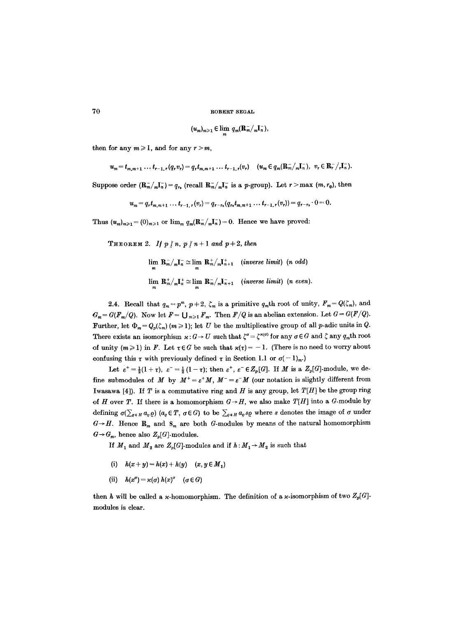$$
(u_m)_{m\geq 1}\in \lim_m q_m(\mathbf{R}_m^-/{}_m\mathbf{I}_n^-),
$$

then for any  $m \ge 1$ , and for any  $r > m$ ,

$$
u_m = t_{m,m+1} \ldots t_{r-1,r} (q_r v_r) = q_r t_{m,m+1} \ldots t_{r-1,r} (v_r) \quad (u_m \in q_m (\mathbf{R}_m^- / {}_m \mathbf{I}_n^-), \ v_r \in \mathbf{R}_r^- / {}_r \mathbf{I}_n^-).
$$

Suppose order  $(\mathbf{R}_{m}/_{m}I_{n}^{-})=q_{r_{0}}$  (recall  $\mathbf{R}_{m}/_{m}I_{n}^{-}$  is a *p*-group). Let  $r > \max(m, r_{0})$ , then

 $u_m = q_r t_{m,m+1} \ldots t_{r-1,r} (v_r) = q_{r-r_0}(q_{r_0} t_{m,m+1} \ldots t_{r-1,r} (v_r)) = q_{r-r_0} \cdot 0 = 0.$ 

Thus  $(u_m)_{m\geq 1}=(0)_{m\geq 1}$  or  $\lim_m q_m(\mathbf{R}_m^-/m_n^-)=0$ . Hence we have proved:

THEOREM 2. *If*  $p \nmid n, p \nmid n+1$  and  $p+2$ , then

 $\lim_{m \to \infty} R_m^-/R_m^- \simeq \lim_{m \to \infty} R_m^+/R_{n+1}^+$  (*inverse limit*) (*n odd*) *m m*   $\lim_{m} \mathbf{R}_{m}^{+}/_{m}\mathbf{I}_{n}^{+} \cong \lim_{m} \mathbf{R}_{m}^{-}/_{m}\mathbf{I}_{n+1}^{-}$  *(inverse limit) (n even).* 

2.4. Recall that  $q_m = p^m$ ,  $p+2$ ,  $\zeta_m$  is a primitive  $q_m$ th root of unity,  $F_m = Q(\zeta_m)$ , and  $G_m = G(F_m/Q)$ . Now let  $F = \bigcup_{m \geq 1} F_m$ . Then  $F/Q$  is an abelian extension. Let  $G = G(F/Q)$ . Further, let  $\Phi_m = Q_p(\zeta_m)$   $(m \ge 1)$ ; let U be the multiplicative group of all p-adic units in Q. There exists an isomorphism  $\kappa : G \to U$  such that  $\zeta^{\sigma} = \zeta^{\kappa(\sigma)}$  for any  $\sigma \in G$  and  $\zeta$  any  $q_m$ th root of unity  $(m \geq 1)$  in F. Let  $\tau \in G$  be such that  $\varkappa(\tau) = -1$ . (There is no need to worry about confusing this  $\tau$  with previously defined  $\tau$  in Section 1.1 or  $\sigma(-1)_m$ .

Let  $\varepsilon^+ = \frac{1}{2}(1+\tau)$ ,  $\varepsilon^- = \frac{1}{2}(1-\tau)$ ; then  $\varepsilon^+$ ,  $\varepsilon^- \in \mathbb{Z}_p[G]$ . If M is a  $\mathbb{Z}_p[G]$ -module, we define submodules of M by  $M^+ = \varepsilon^+ M$ ,  $M^- = \varepsilon^- M$  (our notation is slightly different from Iwasawa [4]). If  $T$  is a commutative ring and  $H$  is any group, let  $T[H]$  be the group ring of H over T. If there is a homomorphism  $G \rightarrow H$ , we also make  $T[H]$  into a G-module by defining  $\sigma(\sum_{\varrho \in H} a_{\varrho} \varrho)$  ( $a_{\varrho} \in T$ ,  $\sigma \in G$ ) to be  $\sum_{\varrho \in H} a_{\varrho} s_{\varrho}$  where s denotes the image of  $\sigma$  under  $G \rightarrow H$ . Hence  $\mathbf{R}_m$  and  $\mathbf{S}_m$  are both G-modules by means of the natural homomorphism  $G \rightarrow G_m$ , hence also  $Z_p[G]$ -modules.

If  $M_1$  and  $M_2$  are  $Z_p[G]$ -modules and if  $h: M_1 \rightarrow M_2$  is such that

- (i)  $h(x+y) = h(x) + h(y)$   $(x, y \in M_1)$
- (ii)  $h(x^{\sigma}) = \varkappa(\sigma) h(x)^{\sigma} \quad (\sigma \in G)$

then h will be called a x-homomorphism. The definition of a x-isomorphism of two  $Z_p[G]$ modules is clear.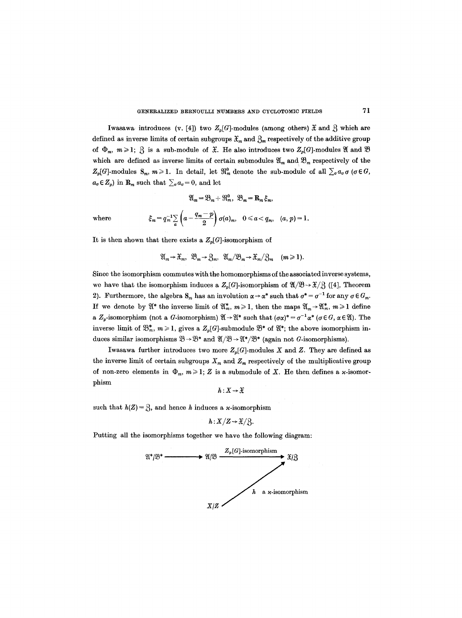Iwasawa introduces (v. [4]) two  $Z_p[G]$ -modules (among others)  $\mathfrak X$  and  $\mathfrak Z$  which are defined as inverse limits of certain subgroups  $\mathfrak{X}_m$  and  $\mathfrak{Z}_m$  respectively of the additive group of  $\Phi_m$ ,  $m \geq 1$ ;  $\mathcal{S}_1$  is a sub-module of  $\mathcal{X}_2$ . He also introduces two  $Z_p[G]$ -modules  $\mathcal{X}_2$  and  $\mathcal{Y}_3$ which are defined as inverse limits of certain submodules  $\mathfrak{A}_m$  and  $\mathfrak{B}_m$  respectively of the  $Z_p[G]$ -modules  $S_m$ ,  $m \ge 1$ . In detail, let  $\mathfrak{R}_m^0$  denote the sub-module of all  $\sum_{\sigma} a_{\sigma} \sigma$  ( $\sigma \in G$ ,  $a_{\sigma} \in Z_p$ ) in  $\mathbf{R}_m$  such that  $\sum_{\sigma} a_{\sigma} = 0$ , and let

$$
\mathfrak{A}_{m} = \mathfrak{B}_{m} + \mathfrak{R}_{m}^{0}, \quad \mathfrak{B}_{m} = \mathbf{R}_{m} \xi_{m},
$$
\nwhere\n
$$
\xi_{m} = q_{m}^{-1} \sum_{a} \left( a - \frac{q_{m} - p}{2} \right) \sigma(a)_{m}, \quad 0 \le a < q_{m}, \quad (a, p) = 1.
$$

It is then shown that there exists a  $Z_p[G]$ -isomorphism of

$$
\mathfrak{A}_m\to \mathfrak{X}_m, \ \mathfrak{B}_m\to \mathfrak{Z}_m, \ \mathfrak{A}_m/\mathfrak{B}_m\to \mathfrak{X}_m/\mathfrak{Z}_m \quad (m\geq 1).
$$

Since the isomorphism commutes with the homomorphisms of the associated inverse systems, we have that the isomorphism induces a  $Z_p[G]$ -isomorphism of  $\mathfrak{A}/\mathfrak{B}\rightarrow \mathfrak{X}/3$  ([4], Theorem 2). Furthermore, the algebra  $S_m$  has an involution  $\alpha \rightarrow \alpha^*$  such that  $\sigma^* = \sigma^{-1}$  for any  $\sigma \in G_m$ . If we denote by  $\mathfrak{A}^*$  the inverse limit of  $\mathfrak{A}^*_m$ ,  $m \geq 1$ , then the maps  $\mathfrak{A}_m \to \mathfrak{A}_m^*$ ,  $m \geq 1$  define a  $Z_p$ -isomorphism (not a G-isomorphism)  $\mathfrak{A} \to \mathfrak{A}^*$  such that  $(\sigma \alpha)^* = \sigma^{-1} \alpha^*$  ( $\sigma \in G$ ,  $\alpha \in \mathfrak{A}$ ). The inverse limit of  $\mathfrak{B}^*_m$ ,  $m \geq 1$ , gives a  $Z_p[G]$ -submodule  $\mathfrak{B}^*$  of  $\mathfrak{A}^*$ ; the above isomorphism induces similar isomorphisms  $\mathfrak{B} \rightarrow \mathfrak{B}^*$  and  $\mathfrak{A}/\mathfrak{B} \rightarrow \mathfrak{A}^*/\mathfrak{B}^*$  (again not G-isomorphisms).

Iwasawa further introduces two more  $Z_p[G]$ -modules X and Z. They are defined as the inverse limit of certain subgroups  $X_m$  and  $Z_m$  respectively of the multiplicative group of non-zero elements in  $\Phi_m$ ,  $m \geq 1$ ; Z is a submodule of X. He then defines a x-isomorphism

$$
h:X\to\mathfrak{X}
$$

such that  $h(Z) = \mathcal{S}$ , and hence h induces a x-isomorphism

$$
h: X/Z \rightarrow \mathfrak{X}/\mathfrak{Z}.
$$

Putting all the isomorphisms together we have the following diagram:

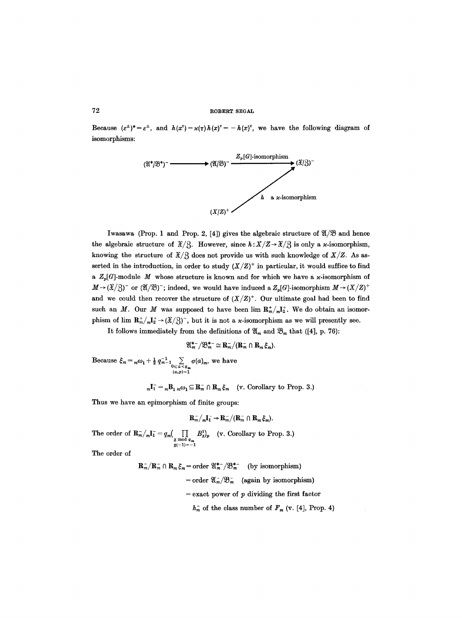Because  $(e^{\pm})^* = e^{\pm}$ , and  $h(x^{\tau}) = \varkappa(\tau)h(x)^{\tau} = -h(x)^{\tau}$ , we have the following diagram of isomorphisms:



Iwasawa (Prop. 1 and Prop. 2, [4]) gives the algebraic structure of  $\mathfrak{A}/\mathfrak{B}$  and hence the algebraic structure of  $\mathfrak{X}/3$ . However, since  $h:\mathfrak{X}/\mathfrak{Z}\rightarrow \mathfrak{X}/3$  is only a *x*-isomorphism, knowing the structure of  $\mathfrak{X}/\mathfrak{Z}$  does not provide us with such knowledge of  $X/Z$ . As asserted in the introduction, in order to study  $(X/Z)^+$  in particular, it would suffice to find a  $Z_p[G]$ -module M whose structure is known and for which we have a x-isomorphism of  $M \rightarrow (\mathcal{X}/3)^{-}$  or  $(\mathcal{X}/\mathcal{B})^{-}$ ; indeed, we would have induced a  $Z_{p}[G]$ -isomorphism  $M \rightarrow (X/Z)^{+}$ and we could then recover the structure of  $(X/Z)^+$ . Our ultimate goal had been to find such an M. Our M was supposed to have been  $\lim R_m^*/nI_2^*$ . We do obtain an isomorphism of lim  $\mathbf{R}_m^+/_m\mathbf{I}_2^+ \rightarrow (\mathcal{X}/3)^-$ , but it is not a *x*-isomorphism as we will presently see.

It follows immediately from the definitions of  $\mathfrak{A}_m$  and  $\mathfrak{B}_m$  that ([4], p. 76):

$$
\mathfrak{A}_{m}^{*-}/\mathfrak{B}_{m}^{*-} \simeq \mathbf{R}_{m}^{-}/(\mathbf{R}_{m}^{-} \cap \mathbf{R}_{m} \xi_{m}).
$$

Because  $\zeta_m = {}_m\omega_1 + \frac{1}{2} q_{m-1}^{-1} \sum_{0 \le a < q_m} \sigma(a)_m$ , we have  $(a,p)=1$ 

 $_{m}I_{1}^{-} = {}_{m}B_{1} {}_{m}\omega_{1} \subseteq \mathbf{R}_{m}^{-} \cap \mathbf{R}_{m} \xi_{m}$  (v. Corollary to Prop. 3.)

Thus we have an epimorphism of finite groups:

$$
\mathbf{R}_m^- / {}_m \mathbf{I}_1^- \to \mathbf{R}_m^- / (\mathbf{R}_m^- \cap \mathbf{R}_m \xi_m).
$$

The order of  $\mathbf{R}_m^- / {}_m \mathbf{I}_1^- = q_m ( \prod_{\substack{\chi \bmod q_m \\ \chi(-1)=-1}} B_{\chi}^1)_p \quad (\text{v. Corollary to Prop. 3.})$ 

The order of

$$
\mathbf{R}_m^-/\mathbf{R}_m^- \cap \mathbf{R}_m \xi_m = \text{order } \mathfrak{A}_m^{*-} / \mathfrak{B}_m^{*-}
$$
 (by isomorphism)  
= order  $\mathfrak{A}_m^- / \mathfrak{B}_m^-$  (again by isomorphism)  
= exact power of *p* dividing the first factor  
 $h_m^-$  of the class number of  $F_m$  (v. [4], Prop. 4)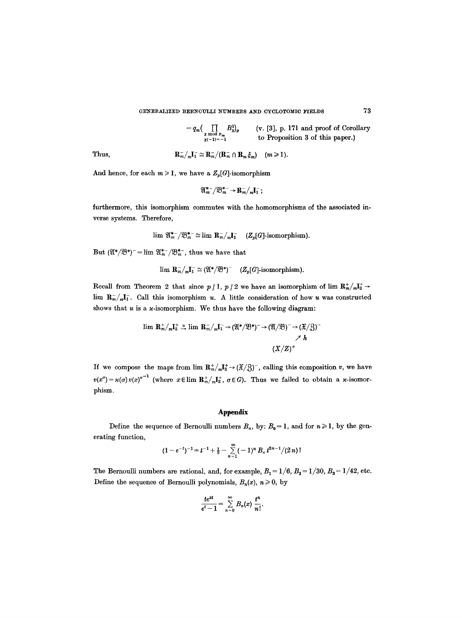#### GENERALIZED BERNOULLI NUMBERS AND CYCLOTOMIC FIELDS

$$
= q_m \left( \prod_{\substack{\chi \bmod p_m \\ \chi(-1)=-1}} B_\chi^1 \right)_{p} \qquad \text{(v. [3], p. 171 and proof of Corollary to Proposition 3 of this paper.)}
$$

Thus, 
$$
\mathbf{R}_m^- / {}_m \mathbf{I}_1^- \simeq \mathbf{R}_m^- / (\mathbf{R}_m^- \cap \mathbf{R}_m \xi_m) \quad (m \geq 1).
$$

And hence, for each  $m \geq 1$ , we have a  $\mathbb{Z}_p[G]$ -isomorphism

$$
\mathfrak{A}_{m}^{*-}/\mathfrak{B}_{m}^{*-} \rightarrow \mathbf{R}_{m}/{}_{m}\mathbf{I}_{1}^{-};
$$

furthermore, this isomorphism commutes with the homomorphisms of the associated inverse systems. Therefore,

$$
\lim \mathfrak{A}_{m}^{*} / \mathfrak{B}_{m}^{*} \simeq \lim \mathbf{R}_{m} / {}_{m} \mathbf{I}_{1}^{-} \quad (Z_{p}[G]\text{-isomorphism}).
$$

But  $(\mathfrak{A}^*/\mathfrak{B}^*)^- = \lim \mathfrak{A}_m^{*-}/\mathfrak{B}_m^{*-}$ , thus we have that

$$
\lim_{m} \mathbf{R}_{m}^{-}/_{m} \mathbf{I}_{1}^{-} \simeq (\mathfrak{A}^{*}/\mathfrak{B}^{*})^{-} \quad (Z_{p}[G]\text{-isomorphism}).
$$

Recall from Theorem 2 that since  $p \nmid 1, p \nmid 2$  we have an isomorphism of lim  $R_m^+ / m!_2^+ \rightarrow$ lim  $R_m^-/nI_1^-$ . Call this isomorphism u. A little consideration of how u was constructed shows that  $u$  is a  $\varkappa$ -isomorphism. We thus have the following diagram:

$$
\lim \mathbf{R}_m^+ / {}_m\mathbf{I}_2^+ \stackrel{u}{\rightarrow} \lim \mathbf{R}_m^- / {}_m\mathbf{I}_1^- \rightarrow (\mathfrak{A}^*/\mathfrak{B}^*)^- \rightarrow (\mathfrak{A}/\mathfrak{B})^- \rightarrow (\mathfrak{X}/\mathfrak{B})^-
$$
\n
$$
\nearrow h
$$
\n
$$
(X/Z)^+
$$

If we compose the maps from lim  $\mathbb{R}_m^*/_{m}I_2^* \to (\mathcal{X}/3)^-$ , calling this composition v, we have  $v(x^{\sigma}) = \varkappa(\sigma) v(x)^{\sigma^{-1}}$  (where  $x \in \lim_{m \to \infty} \mathbb{R}^+_m / \mathbb{R}^+_2$ ,  $\sigma \in G$ ). Thus we failed to obtain a *x*-isomorphism.

## **Appendix**

Define the sequence of Bernoulli numbers  $B_n$ , by:  $B_0 = 1$ , and for  $n \ge 1$ , by the generating function,

$$
(1-e^{-t})^{-1} = t^{-1} + \frac{1}{2} - \sum_{n=1}^{\infty} (-1)^n B_n t^{2n-1}/(2n)!
$$

The Bernoulli numbers are rational, and, for example,  $B_1 = 1/6$ ,  $B_2 = 1/30$ ,  $B_3 = 1/42$ , etc. Define the sequence of Bernoulli polynomials,  $B_n(x)$ ,  $n \geq 0$ , by

$$
\frac{te^{xt}}{e^t-1}=\sum_{n=0}^\infty B_n(x)\frac{t^n}{n!}.
$$

73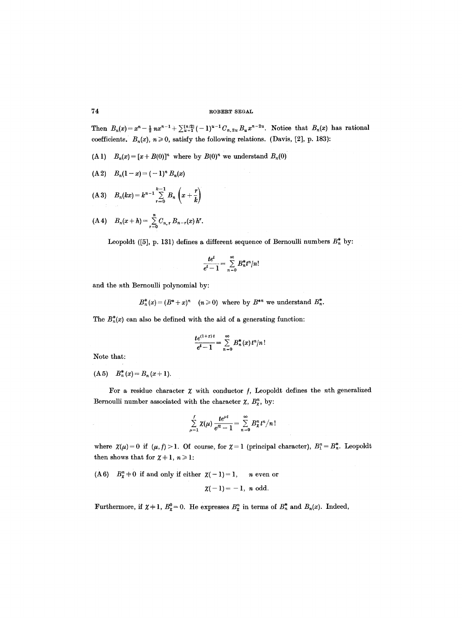Then  $B_n(x) = x^n - \frac{1}{2}nx^{n-1} + \sum_{u=1}^{[n/2]} (-1)^{u-1} C_{n,2u} B_u x^{n-2u}$ . Notice that  $B_n(x)$  has rational coefficients.  $B_n(x)$ ,  $n \ge 0$ , satisfy the following relations. (Davis, [2], p. 183):

(A 1)  $B_n(x) = [x + B(0)]^n$  where by  $B(0)^n$  we understand  $B_n(0)$ 

$$
(A 2) \quad B_n(1-x) = (-1)^n B_n(x)
$$

(A 3)  $B_n(kx) = k^{n-1} \sum_{r=0}^{\infty} B_n (x + \frac{1}{k})$ 

(A4) 
$$
B_n(x+h) = \sum_{r=0}^n C_{n,r} B_{n-r}(x) h^r
$$
.

Leopoldt ([5], p. 131) defines a different sequence of Bernoulli numbers  $B_n^*$  by:

$$
\frac{te^t}{e^t-1}=\sum_{n=0}^\infty B_n^*t^n/n!
$$

and the nth Bernoulli polynomial by:

 $B_n^*(x) = (B^* + x)^n$  ( $n \ge 0$ ) where by  $B^{*n}$  we understand  $B_n^*$ .

The  $B_n^*(x)$  can also be defined with the aid of a generating function:

$$
\frac{te^{(1+x)t}}{e^t-1} = \sum_{n=0}^{\infty} B_n^*(x) t^n/n!
$$

Note that:

(A5)  $B_n^*(x) = B_n(x+1)$ .

For a residue character  $\chi$  with conductor  $f$ , Leopoldt defines the *n*th generalized Bernoulli number associated with the character  $\chi$ ,  $B_{\chi}^{n}$ , by:

$$
\sum_{\mu=1}^f \chi(\mu) \frac{te^{\mu t}}{e^{\prime t}-1} = \sum_{n=0}^\infty B_\mathcal{X}^n t^n/n!
$$

where  $\chi(\mu) = 0$  if  $(\mu, f) > 1$ . Of course, for  $\chi = 1$  (principal character),  $B_1^n = B_n^*$ . Leopoldt then shows that for  $\chi + 1$ ,  $n \ge 1$ :

(A6)  $B_{\alpha}^{n}$   $\neq$  0 if and only if either  $\chi(-1)=1$ , neven or

$$
\chi(-1)=-1, n \text{ odd.}
$$

Furthermore, if  $\chi + 1$ ,  $B_{\chi}^{0} = 0$ . He expresses  $B_{\chi}^{n}$  in terms of  $B_{n}^{*}$  and  $B_{n}(x)$ . Indeed,